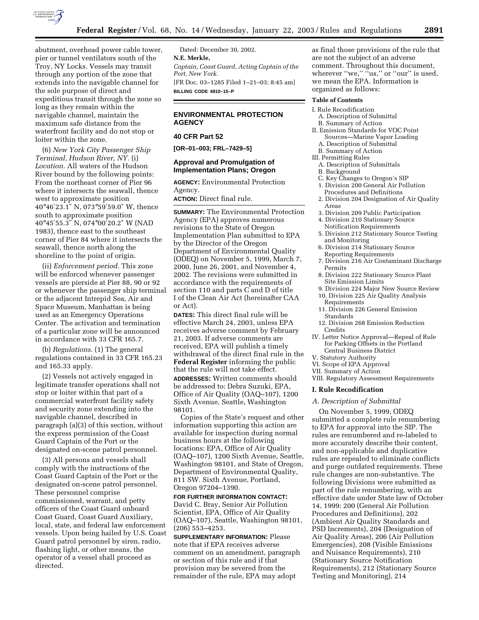

abutment, overhead power cable tower, pier or tunnel ventilators south of the Troy, NY Locks. Vessels may transit through any portion of the zone that extends into the navigable channel for the sole purpose of direct and expeditious transit through the zone so long as they remain within the navigable channel, maintain the maximum safe distance from the waterfront facility and do not stop or loiter within the zone.

(6) *New York City Passenger Ship Terminal, Hudson River, NY.* (i) *Location.* All waters of the Hudson River bound by the following points: From the northeast corner of Pier 96 where it intersects the seawall, thence west to approximate position 40°46′23.1″ N, 073°59′59.0″ W, thence south to approximate position 40°45′55.3″ N, 074°00′20.2″ W (NAD 1983), thence east to the southeast corner of Pier 84 where it intersects the seawall, thence north along the shoreline to the point of origin.

(ii) *Enforcement period*. This zone will be enforced whenever passenger vessels are pierside at Pier 88, 90 or 92 or whenever the passenger ship terminal or the adjacent Intrepid Sea, Air and Space Museum, Manhattan is being used as an Emergency Operations Center. The activation and termination of a particular zone will be announced in accordance with 33 CFR 165.7.

(b) *Regulations*. (1) The general regulations contained in 33 CFR 165.23 and 165.33 apply.

(2) Vessels not actively engaged in legitimate transfer operations shall not stop or loiter within that part of a commercial waterfront facility safety and security zone extending into the navigable channel, described in paragraph (a)(3) of this section, without the express permission of the Coast Guard Captain of the Port or the designated on-scene patrol personnel.

(3) All persons and vessels shall comply with the instructions of the Coast Guard Captain of the Port or the designated on-scene patrol personnel. These personnel comprise commissioned, warrant, and petty officers of the Coast Guard onboard Coast Guard, Coast Guard Auxiliary, local, state, and federal law enforcement vessels. Upon being hailed by U.S. Coast Guard patrol personnel by siren, radio, flashing light, or other means, the operator of a vessel shall proceed as directed.

Dated: December 30, 2002. **N.E. Merkle,**  *Captain, Coast Guard, Acting Captain of the Port, New York.* [FR Doc. 03–1285 Filed 1–21–03; 8:45 am] **BILLING CODE 4910–15–P**

# **ENVIRONMENTAL PROTECTION AGENCY**

# **40 CFR Part 52**

**[OR–01–003; FRL–7429–5]** 

# **Approval and Promulgation of Implementation Plans; Oregon**

**AGENCY:** Environmental Protection Agency.

**ACTION:** Direct final rule.

**SUMMARY:** The Environmental Protection Agency (EPA) approves numerous revisions to the State of Oregon Implementation Plan submitted to EPA by the Director of the Oregon Department of Environmental Quality (ODEQ) on November 5, 1999, March 7, 2000, June 26, 2001, and November 4, 2002. The revisions were submitted in accordance with the requirements of section 110 and parts C and D of title I of the Clean Air Act (hereinafter CAA or Act).

**DATES:** This direct final rule will be effective March 24, 2003, unless EPA receives adverse comment by February 21, 2003. If adverse comments are received, EPA will publish a timely withdrawal of the direct final rule in the **Federal Register** informing the public that the rule will not take effect. **ADDRESSES:** Written comments should be addressed to: Debra Suzuki, EPA, Office of Air Quality (OAQ–107), 1200 Sixth Avenue, Seattle, Washington 98101.

Copies of the State's request and other information supporting this action are available for inspection during normal business hours at the following locations: EPA, Office of Air Quality (OAQ–107), 1200 Sixth Avenue, Seattle, Washington 98101, and State of Oregon, Department of Environmental Quality, 811 SW. Sixth Avenue, Portland, Oregon 97204–1390.

**FOR FURTHER INFORMATION CONTACT:** David C. Bray, Senior Air Pollution Scientist, EPA, Office of Air Quality (OAQ–107), Seattle, Washington 98101, (206) 553–4253.

**SUPPLEMENTARY INFORMATION:** Please note that if EPA receives adverse comment on an amendment, paragraph or section of this rule and if that provision may be severed from the remainder of the rule, EPA may adopt

as final those provisions of the rule that are not the subject of an adverse comment. Throughout this document, wherever "we," "us," or "our" is used, we mean the EPA. Information is organized as follows:

# **Table of Contents**

- I. Rule Recodification
	- A. Description of Submittal
- B. Summary of Action II. Emission Standards for VOC Point Sources—Marine Vapor Loading
	- A. Description of Submittal
	- B. Summary of Action
- III. Permitting Rules A. Description of Submittals
	- B. Background
	- C. Key Changes to Oregon's SIP
	- 1. Division 200 General Air Pollution Procedures and Definitions
	- 2. Division 204 Designation of Air Quality Areas
	- 3. Division 209 Public Participation
	- 4. Division 210 Stationary Source Notification Requirements
	- 5. Division 212 Stationary Source Testing and Monitoring
	- 6. Division 214 Stationary Source Reporting Requirements
	- 7. Division 216 Air Contaminant Discharge Permits
	- 8. Division 222 Stationary Source Plant Site Emission Limits
	- 9. Division 224 Major New Source Review 10. Division 225 Air Quality Analysis
	- Requirements 11. Division 226 General Emission
	- Standards
	- 12. Division 268 Emission Reduction Credits
- IV. Letter Notice Approval—Repeal of Rule for Parking Offsets in the Portland Central Business District
- V. Statutory Authority
- VI. Scope of EPA Approval
- VII. Summary of Action
- VIII. Regulatory Assessment Requirements

### **I. Rule Recodification**

### *A. Description of Submittal*

On November 5, 1999, ODEQ submitted a complete rule renumbering to EPA for approval into the SIP. The rules are renumbered and re-labeled to more accurately describe their content, and non-applicable and duplicative rules are repealed to eliminate conflicts and purge outdated requirements. These rule changes are non-substantive. The following Divisions were submitted as part of the rule renumbering, with an effective date under State law of October 14, 1999: 200 (General Air Pollution Procedures and Definitions), 202 (Ambient Air Quality Standards and PSD Increments), 204 (Designation of Air Quality Areas), 206 (Air Pollution Emergencies), 208 (Visible Emissions and Nuisance Requirements), 210 (Stationary Source Notification Requirements), 212 (Stationary Source Testing and Monitoring), 214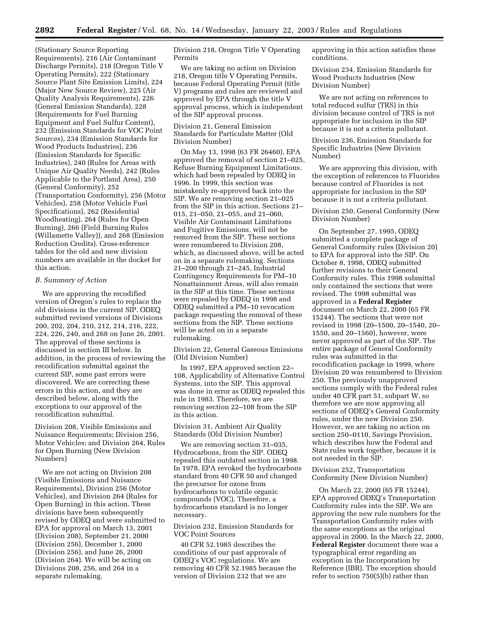(Stationary Source Reporting Requirements), 216 (Air Contaminant Discharge Permits), 218 (Oregon Title V Operating Permits), 222 (Stationary Source Plant Site Emission Limits), 224 (Major New Source Review), 225 (Air Quality Analysis Requirements), 226 (General Emission Standards), 228 (Requirements for Fuel Burning Equipment and Fuel Sulfur Content), 232 (Emission Standards for VOC Point Sources), 234 (Emission Standards for Wood Products Industries), 236 (Emission Standards for Specific Industries), 240 (Rules for Areas with Unique Air Quality Needs), 242 (Rules Applicable to the Portland Area), 250 (General Conformity), 252 (Transportation Conformity), 256 (Motor Vehicles), 258 (Motor Vehicle Fuel Specifications), 262 (Residential Woodheating), 264 (Rules for Open Burning), 266 (Field Burning Rules (Willamette Valley)), and 268 (Emission Reduction Credits). Cross-reference tables for the old and new division numbers are available in the docket for this action.

## *B. Summary of Action*

We are approving the recodified version of Oregon's rules to replace the old divisions in the current SIP. ODEQ submitted revised versions of Divisions 200, 202, 204, 210, 212, 214, 216, 222, 224, 226, 240, and 268 on June 26, 2001. The approval of these sections is discussed in section III below. In addition, in the process of reviewing the recodification submittal against the current SIP, some past errors were discovered. We are correcting these errors in this action, and they are described below, along with the exceptions to our approval of the recodification submittal.

Division 208, Visible Emissions and Nuisance Requirements; Division 256, Motor Vehicles; and Division 264, Rules for Open Burning (New Division Numbers)

We are not acting on Division 208 (Visible Emissions and Nuisance Requirements), Division 256 (Motor Vehicles), and Division 264 (Rules for Open Burning) in this action. These divisions have been subsequently revised by ODEQ and were submitted to EPA for approval on March 13, 2001 (Division 208), September 21, 2000 (Division 256), December 1, 2000 (Division 256), and June 26, 2000 (Division 264). We will be acting on Divisions 208, 256, and 264 in a separate rulemaking.

Division 218, Oregon Title V Operating Permits

We are taking no action on Division 218, Oregon title V Operating Permits, because Federal Operating Permit (title V) programs and rules are reviewed and approved by EPA through the title V approval process, which is independent of the SIP approval process.

Division 21, General Emission Standards for Particulate Matter (Old Division Number)

On May 13, 1998 (63 FR 26460), EPA approved the removal of section 21–025, Refuse Burning Equipment Limitations, which had been repealed by ODEQ in 1996. In 1999, this section was mistakenly re-approved back into the SIP. We are removing section 21–025 from the SIP in this action. Sections 21– 015, 21–050, 21–055, and 21–060, Visible Air Contaminant Limitations and Fugitive Emissions, will not be removed from the SIP. These sections were renumbered to Division 208, which, as discussed above, will be acted on in a separate rulemaking. Sections 21–200 through 21–245, Industrial Contingency Requirements for PM–10 Nonattainment Areas, will also remain in the SIP at this time. These sections were repealed by ODEQ in 1998 and ODEQ submitted a PM–10 revocation package requesting the removal of these sections from the SIP. These sections will be acted on in a separate rulemaking.

Division 22, General Gaseous Emissions (Old Division Number)

In 1997, EPA approved section 22– 108, Applicability of Alternative Control Systems, into the SIP. This approval was done in error as ODEQ repealed this rule in 1983. Therefore, we are removing section 22–108 from the SIP in this action.

Division 31, Ambient Air Quality Standards (Old Division Number)

We are removing section 31–035, Hydrocarbons, from the SIP. ODEQ repealed this outdated section in 1998. In 1978, EPA revoked the hydrocarbons standard from 40 CFR 50 and changed the precursor for ozone from hydrocarbons to volatile organic compounds (VOC). Therefore, a hydrocarbons standard is no longer necessary.

Division 232, Emission Standards for VOC Point Sources

40 CFR 52.1985 describes the conditions of our past approvals of ODEQ's VOC regulations. We are removing 40 CFR 52.1985 because the version of Division 232 that we are

approving in this action satisfies these conditions.

Division 234, Emission Standards for Wood Products Industries (New Division Number)

We are not acting on references to total reduced sulfur (TRS) in this division because control of TRS is not appropriate for inclusion in the SIP because it is not a criteria pollutant.

Division 236, Emission Standards for Specific Industries (New Division Number)

We are approving this division, with the exception of references to Fluorides because control of Fluorides is not appropriate for inclusion in the SIP because it is not a criteria pollutant.

Division 250, General Conformity (New Division Number)

On September 27, 1995, ODEQ submitted a complete package of General Conformity rules (Division 20) to EPA for approval into the SIP. On October 8, 1998, ODEQ submitted further revisions to their General Conformity rules. This 1998 submittal only contained the sections that were revised. The 1998 submittal was approved in a **Federal Register** document on March 22, 2000 (65 FR 15244). The sections that were not revised in 1998 (20–1500, 20–1540, 20– 1550, and 20–1560), however, were never approved as part of the SIP. The entire package of General Conformity rules was submitted in the recodification package in 1999, where Division 20 was renumbered to Division 250. The previously unapproved sections comply with the Federal rules under 40 CFR part 51, subpart W, so therefore we are now approving all sections of ODEQ's General Conformity rules, under the new Division 250. However, we are taking no action on section 250–0110, Savings Provision, which describes how the Federal and State rules work together, because it is not needed in the SIP.

Division 252, Transportation Conformity (New Division Number)

On March 22, 2000 (65 FR 15244), EPA approved ODEQ's Transportation Conformity rules into the SIP. We are approving the new rule numbers for the Transportation Conformity rules with the same exceptions as the original approval in 2000. In the March 22, 2000, **Federal Register** document there was a typographical error regarding an exception in the Incorporation by Reference (IBR). The exception should refer to section 750(5)(b) rather than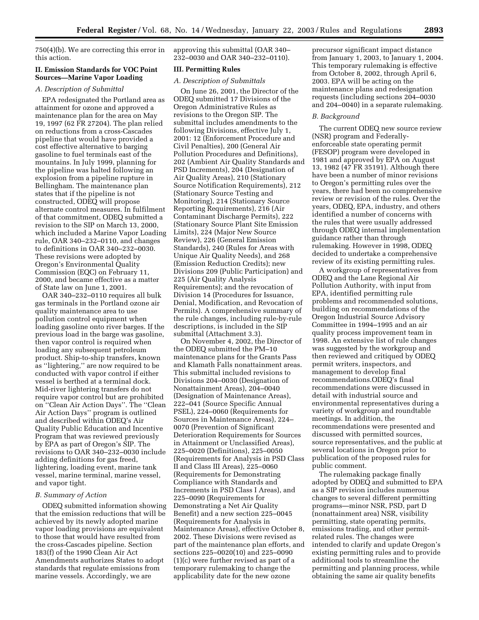750(4)(b). We are correcting this error in this action.

### **II. Emission Standards for VOC Point Sources—Marine Vapor Loading**

*A. Description of Submittal* 

EPA redesignated the Portland area as attainment for ozone and approved a maintenance plan for the area on May 19, 1997 (62 FR 27204). The plan relied on reductions from a cross-Cascades pipeline that would have provided a cost effective alternative to barging gasoline to fuel terminals east of the mountains. In July 1999, planning for the pipeline was halted following an explosion from a pipeline rupture in Bellingham. The maintenance plan states that if the pipeline is not constructed, ODEQ will propose alternate control measures. In fulfilment of that commitment, ODEQ submitted a revision to the SIP on March 13, 2000, which included a Marine Vapor Loading rule, OAR 340–232–0110, and changes to definitions in OAR 340–232–0030. These revisions were adopted by Oregon's Environmental Quality Commission (EQC) on February 11, 2000, and became effective as a matter of State law on June 1, 2001.

OAR 340–232–0110 requires all bulk gas terminals in the Portland ozone air quality maintenance area to use pollution control equipment when loading gasoline onto river barges. If the previous load in the barge was gasoline, then vapor control is required when loading any subsequent petroleum product. Ship-to-ship transfers, known as ''lightering,'' are now required to be conducted with vapor control if either vessel is berthed at a terminal dock. Mid-river lightering transfers do not require vapor control but are prohibited on ''Clean Air Action Days''. The ''Clean Air Action Days'' program is outlined and described within ODEQ's Air Quality Public Education and Incentive Program that was reviewed previously by EPA as part of Oregon's SIP. The revisions to OAR 340–232–0030 include adding definitions for gas freed, lightering, loading event, marine tank vessel, marine terminal, marine vessel, and vapor tight.

### *B. Summary of Action*

ODEQ submitted information showing that the emission reductions that will be achieved by its newly adopted marine vapor loading provisions are equivalent to those that would have resulted from the cross-Cascades pipeline. Section 183(f) of the 1990 Clean Air Act Amendments authorizes States to adopt standards that regulate emissions from marine vessels. Accordingly, we are

approving this submittal (OAR 340– 232–0030 and OAR 340–232–0110).

### **III. Permitting Rules**

# *A. Description of Submittals*

On June 26, 2001, the Director of the ODEQ submitted 17 Divisions of the Oregon Administrative Rules as revisions to the Oregon SIP. The submittal includes amendments to the following Divisions, effective July 1, 2001: 12 (Enforcement Procedure and Civil Penalties), 200 (General Air Pollution Procedures and Definitions), 202 (Ambient Air Quality Standards and PSD Increments), 204 (Designation of Air Quality Areas), 210 (Stationary Source Notification Requirements), 212 (Stationary Source Testing and Monitoring), 214 (Stationary Source Reporting Requirements), 216 (Air Contaminant Discharge Permits), 222 (Stationary Source Plant Site Emission Limits), 224 (Major New Source Review), 226 (General Emission Standards), 240 (Rules for Areas with Unique Air Quality Needs), and 268 (Emission Reduction Credits); new Divisions 209 (Public Participation) and 225 (Air Quality Analysis Requirements); and the revocation of Division 14 (Procedures for Issuance, Denial, Modification, and Revocation of Permits). A comprehensive summary of the rule changes, including rule-by-rule descriptions, is included in the SIP submittal (Attachment 3.3).

On November 4, 2002, the Director of the ODEQ submitted the PM–10 maintenance plans for the Grants Pass and Klamath Falls nonattainment areas. This submittal included revisions to Divisions 204–0030 (Designation of Nonattainment Areas), 204–0040 (Designation of Maintenance Areas), 222–041 (Source Specific Annual PSEL), 224–0060 (Requirements for Sources in Maintenance Areas), 224– 0070 (Prevention of Significant Deterioration Requirements for Sources in Attainment or Unclassified Areas), 225–0020 (Definitions), 225–0050 (Requirements for Analysis in PSD Class II and Class III Areas), 225–0060 (Requirements for Demonstrating Compliance with Standards and Increments in PSD Class I Areas), and 225–0090 (Requirements for Demonstrating a Net Air Quality Benefit) and a new section 225–0045 (Requirements for Analysis in Maintenance Areas), effective October 8, 2002. These Divisions were revised as part of the maintenance plan efforts, and sections 225–0020(10) and 225–0090 (1)(c) were further revised as part of a temporary rulemaking to change the applicability date for the new ozone

precursor significant impact distance from January 1, 2003, to January 1, 2004. This temporary rulemaking is effective from October 8, 2002, through April 6, 2003. EPA will be acting on the maintenance plans and redesignation requests (including sections 204–0030 and 204–0040) in a separate rulemaking.

### *B. Background*

The current ODEQ new source review (NSR) program and Federallyenforceable state operating permit (FESOP) program were developed in 1981 and approved by EPA on August 13, 1982 (47 FR 35191). Although there have been a number of minor revisions to Oregon's permitting rules over the years, there had been no comprehensive review or revision of the rules. Over the years, ODEQ, EPA, industry, and others identified a number of concerns with the rules that were usually addressed through ODEQ internal implementation guidance rather than through rulemaking. However in 1998, ODEQ decided to undertake a comprehensive review of its existing permitting rules.

A workgroup of representatives from ODEQ and the Lane Regional Air Pollution Authority, with input from EPA, identified permitting rule problems and recommended solutions, building on recommendations of the Oregon Industrial Source Advisory Committee in 1994–1995 and an air quality process improvement team in 1998. An extensive list of rule changes was suggested by the workgroup and then reviewed and critiqued by ODEQ permit writers, inspectors, and management to develop final recommendations.ODEQ's final recommendations were discussed in detail with industrial source and environmental representatives during a variety of workgroup and roundtable meetings. In addition, the recommendations were presented and discussed with permitted sources, source representatives, and the public at several locations in Oregon prior to publication of the proposed rules for public comment.

The rulemaking package finally adopted by ODEQ and submitted to EPA as a SIP revision includes numerous changes to several different permitting programs—minor NSR, PSD, part D (nonattainment area) NSR, visibility permitting, state operating permits, emissions trading, and other permitrelated rules. The changes were intended to clarify and update Oregon's existing permitting rules and to provide additional tools to streamline the permitting and planning process, while obtaining the same air quality benefits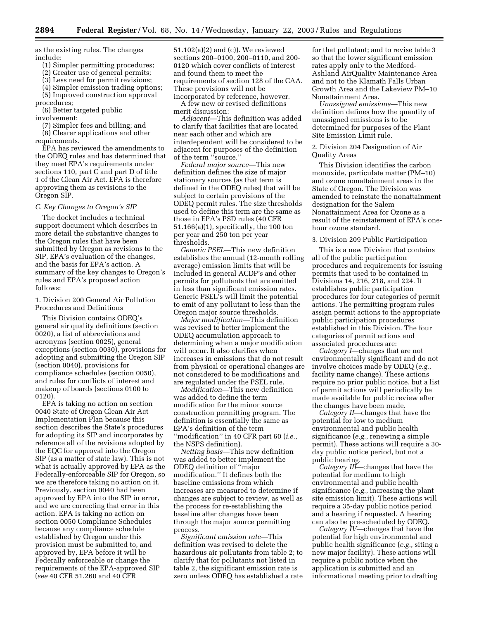as the existing rules. The changes include:

(1) Simpler permitting procedures;

(2) Greater use of general permits;

(3) Less need for permit revisions;

(4) Simpler emission trading options; (5) Improved construction approval

procedures;

Oregon SIP.

(6) Better targeted public involvement;

(7) Simpler fees and billing; and (8) Clearer applications and other requirements.

EPA has reviewed the amendments to the ODEQ rules and has determined that they meet EPA's requirements under sections 110, part C and part D of title 1 of the Clean Air Act. EPA is therefore approving them as revisions to the

# *C. Key Changes to Oregon's SIP*

The docket includes a technical support document which describes in more detail the substantive changes to the Oregon rules that have been submitted by Oregon as revisions to the SIP, EPA's evaluation of the changes, and the basis for EPA's action. A summary of the key changes to Oregon's rules and EPA's proposed action follows:

1. Division 200 General Air Pollution Procedures and Definitions

This Division contains ODEQ's general air quality definitions (section 0020), a list of abbreviations and acronyms (section 0025), general exceptions (section 0030), provisions for adopting and submitting the Oregon SIP (section 0040), provisions for compliance schedules (section 0050), and rules for conflicts of interest and makeup of boards (sections 0100 to 0120).

EPA is taking no action on section 0040 State of Oregon Clean Air Act Implementation Plan because this section describes the State's procedures for adopting its SIP and incorporates by reference all of the revisions adopted by the EQC for approval into the Oregon SIP (as a matter of state law). This is not what is actually approved by EPA as the Federally-enforceable SIP for Oregon, so we are therefore taking no action on it. Previously, section 0040 had been approved by EPA into the SIP in error, and we are correcting that error in this action. EPA is taking no action on section 0050 Compliance Schedules because any compliance schedule established by Oregon under this provision must be submitted to, and approved by, EPA before it will be Federally enforceable or change the requirements of the EPA-approved SIP (*see* 40 CFR 51.260 and 40 CFR

51.102(a)(2) and (c)). We reviewed sections 200–0100, 200–0110, and 200- 0120 which cover conflicts of interest and found them to meet the requirements of section 128 of the CAA. These provisions will not be incorporated by reference, however.

A few new or revised definitions merit discussion:

*Adjacent*—This definition was added to clarify that facilities that are located near each other and which are interdependent will be considered to be adjacent for purposes of the definition of the term ''source.''

*Federal major source*—This new definition defines the size of major stationary sources (as that term is defined in the ODEQ rules) that will be subject to certain provisions of the ODEQ permit rules. The size thresholds used to define this term are the same as those in EPA's PSD rules (40 CFR 51.166(a)(1), specifically, the 100 ton per year and 250 ton per year thresholds.

*Generic PSEL*—This new definition establishes the annual (12-month rolling average) emission limits that will be included in general ACDP's and other permits for pollutants that are emitted in less than significant emission rates. Generic PSEL's will limit the potential to emit of any pollutant to less than the Oregon major source thresholds.

*Major modification*—This definition was revised to better implement the ODEQ accumulation approach to determining when a major modification will occur. It also clarifies when increases in emissions that do not result from physical or operational changes are not considered to be modifications and are regulated under the PSEL rule.

*Modification*—This new definition was added to define the term modification for the minor source construction permitting program. The definition is essentially the same as EPA's definition of the term ''modification'' in 40 CFR part 60 (*i.e.*, the NSPS definition).

*Netting basis*—This new definition was added to better implement the ODEQ definition of ''major modification.'' It defines both the baseline emissions from which increases are measured to determine if changes are subject to review, as well as the process for re-establishing the baseline after changes have been through the major source permitting process.

*Significant emission rate*—This definition was revised to delete the hazardous air pollutants from table 2; to clarify that for pollutants not listed in table 2, the significant emission rate is zero unless ODEQ has established a rate

for that pollutant; and to revise table 3 so that the lower significant emission rates apply only to the Medford-Ashland AirQuality Maintenance Area and not to the Klamath Falls Urban Growth Area and the Lakeview PM–10 Nonattainment Area.

*Unassigned emissions*—This new definition defines how the quantity of unassigned emissions is to be determined for purposes of the Plant Site Emission Limit rule.

2. Division 204 Designation of Air Quality Areas

This Division identifies the carbon monoxide, particulate matter (PM–10) and ozone nonattainment areas in the State of Oregon. The Division was amended to reinstate the nonattainment designation for the Salem Nonattainment Area for Ozone as a result of the reinstatement of EPA's onehour ozone standard.

3. Division 209 Public Participation

This is a new Division that contains all of the public participation procedures and requirements for issuing permits that used to be contained in Divisions 14, 216, 218, and 224. It establishes public participation procedures for four categories of permit actions. The permitting program rules assign permit actions to the appropriate public participation procedures established in this Division. The four categories of permit actions and associated procedures are:

*Category I*—changes that are not environmentally significant and do not involve choices made by ODEQ (*e.g.*, facility name change). These actions require no prior public notice, but a list of permit actions will periodically be made available for public review after the changes have been made.

*Category II*—changes that have the potential for low to medium environmental and public health significance (*e.g.*, renewing a simple permit). These actions will require a 30 day public notice period, but not a public hearing.

*Category III*—changes that have the potential for medium to high environmental and public health significance (*e.g.*, increasing the plant site emission limit). These actions will require a 35-day public notice period and a hearing if requested. A hearing can also be pre-scheduled by ODEQ.

*Category IV*—changes that have the potential for high environmental and public health significance (*e.g.*, siting a new major facility). These actions will require a public notice when the application is submitted and an informational meeting prior to drafting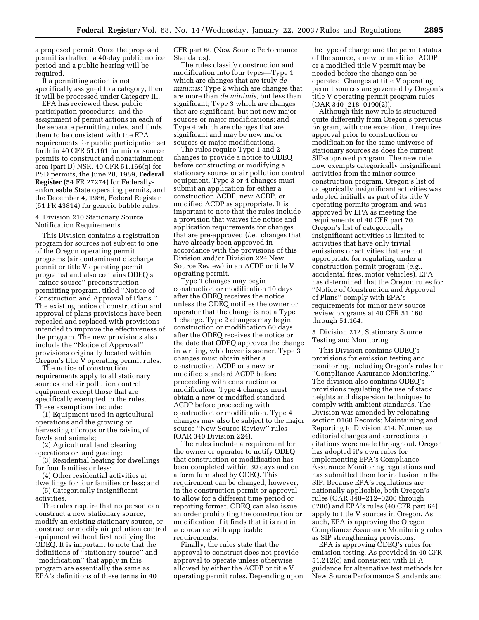a proposed permit. Once the proposed permit is drafted, a 40-day public notice period and a public hearing will be required.

If a permitting action is not specifically assigned to a category, then it will be processed under Category III.

EPA has reviewed these public participation procedures, and the assignment of permit actions in each of the separate permitting rules, and finds them to be consistent with the EPA requirements for public participation set forth in 40 CFR 51.161 for minor source permits to construct and nonattainment area (part D) NSR, 40 CFR 51.166(q) for PSD permits, the June 28, 1989, **Federal Register** (54 FR 27274) for Federallyenforceable State operating permits, and the December 4, 1986, Federal Register (51 FR 43814) for generic bubble rules.

## 4. Division 210 Stationary Source Notification Requirements

This Division contains a registration program for sources not subject to one of the Oregon operating permit programs (air contaminant discharge permit or title V operating permit programs) and also contains ODEQ's ''minor source'' preconstruction permitting program, titled ''Notice of Construction and Approval of Plans.'' The existing notice of construction and approval of plans provisions have been repealed and replaced with provisions intended to improve the effectiveness of the program. The new provisions also include the ''Notice of Approval'' provisions originally located within Oregon's title V operating permit rules.

The notice of construction requirements apply to all stationary sources and air pollution control equipment except those that are specifically exempted in the rules. These exemptions include:

(1) Equipment used in agricultural operations and the growing or harvesting of crops or the raising of fowls and animals;

(2) Agricultural land clearing operations or land grading;

(3) Residential heating for dwellings for four families or less;

(4) Other residential activities at

dwellings for four families or less; and (5) Categorically insignificant activities.

The rules require that no person can construct a new stationary source, modify an existing stationary source, or construct or modify air pollution control equipment without first notifying the ODEQ. It is important to note that the definitions of ''stationary source'' and ''modification'' that apply in this program are essentially the same as EPA's definitions of these terms in 40

CFR part 60 (New Source Performance Standards).

The rules classify construction and modification into four types—Type 1 which are changes that are truly *de minimis*; Type 2 which are changes that are more than *de minimis*, but less than significant; Type 3 which are changes that are significant, but not new major sources or major modifications; and Type 4 which are changes that are significant and may be new major sources or major modifications.

The rules require Type 1 and 2 changes to provide a notice to ODEQ before constructing or modifying a stationary source or air pollution control equipment. Type 3 or 4 changes must submit an application for either a construction ACDP, new ACDP, or modified ACDP as appropriate. It is important to note that the rules include a provision that waives the notice and application requirements for changes that are pre-approved (*i.e.*, changes that have already been approved in accordance with the provisions of this Division and/or Division 224 New Source Review) in an ACDP or title V operating permit.

Type 1 changes may begin construction or modification 10 days after the ODEQ receives the notice unless the ODEQ notifies the owner or operator that the change is not a Type 1 change. Type 2 changes may begin construction or modification 60 days after the ODEQ receives the notice or the date that ODEQ approves the change in writing, whichever is sooner. Type 3 changes must obtain either a construction ACDP or a new or modified standard ACDP before proceeding with construction or modification. Type 4 changes must obtain a new or modified standard ACDP before proceeding with construction or modification. Type 4 changes may also be subject to the major source ''New Source Review'' rules (OAR 340 Division 224).

The rules include a requirement for the owner or operator to notify ODEQ that construction or modification has been completed within 30 days and on a form furnished by ODEQ. This requirement can be changed, however, in the construction permit or approval to allow for a different time period or reporting format. ODEQ can also issue an order prohibiting the construction or modification if it finds that it is not in accordance with applicable requirements.

Finally, the rules state that the approval to construct does not provide approval to operate unless otherwise allowed by either the ACDP or title V operating permit rules. Depending upon

the type of change and the permit status of the source, a new or modified ACDP or a modified title V permit may be needed before the change can be operated. Changes at title V operating permit sources are governed by Oregon's title V operating permit program rules (OAR 340–218–0190(2)).

Although this new rule is structured quite differently from Oregon's previous program, with one exception, it requires approval prior to construction or modification for the same universe of stationary sources as does the current SIP-approved program. The new rule now exempts categorically insignificant activities from the minor source construction program. Oregon's list of categorically insignificant activities was adopted initially as part of its title V operating permits program and was approved by EPA as meeting the requirements of 40 CFR part 70. Oregon's list of categorically insignificant activities is limited to activities that have only trivial emissions or activities that are not appropriate for regulating under a construction permit program (*e.g.*, accidental fires, motor vehicles). EPA has determined that the Oregon rules for ''Notice of Construction and Approval of Plans'' comply with EPA's requirements for minor new source review programs at 40 CFR 51.160 through 51.164.

5. Division 212, Stationary Source Testing and Monitoring

This Division contains ODEQ's provisions for emission testing and monitoring, including Oregon's rules for ''Compliance Assurance Monitoring.'' The division also contains ODEQ's provisions regulating the use of stack heights and dispersion techniques to comply with ambient standards. The Division was amended by relocating section 0160 Records; Maintaining and Reporting to Division 214. Numerous editorial changes and corrections to citations were made throughout. Oregon has adopted it's own rules for implementing EPA's Compliance Assurance Monitoring regulations and has submitted them for inclusion in the SIP. Because EPA's regulations are nationally applicable, both Oregon's rules (OAR 340–212–0200 through 0280) and EPA's rules (40 CFR part 64) apply to title V sources in Oregon. As such, EPA is approving the Oregon Compliance Assurance Monitoring rules as SIP strengthening provisions.

EPA is approving ODEQ's rules for emission testing. As provided in 40 CFR 51.212(c) and consistent with EPA guidance for alternative test methods for New Source Performance Standards and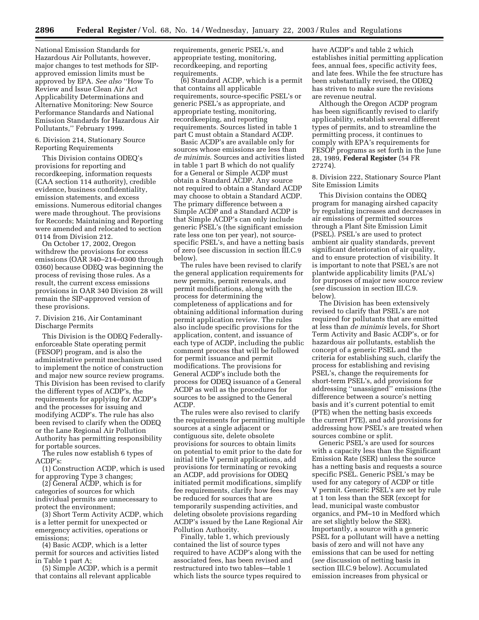National Emission Standards for Hazardous Air Pollutants, however, major changes to test methods for SIPapproved emission limits must be approved by EPA. *See also* ''How To Review and Issue Clean Air Act Applicability Determinations and Alternative Monitoring: New Source Performance Standards and National Emission Standards for Hazardous Air Pollutants,'' February 1999.

## 6. Division 214, Stationary Source Reporting Requirements

This Division contains ODEQ's provisions for reporting and recordkeeping, information requests (CAA section 114 authority), credible evidence, business confidentiality, emission statements, and excess emissions. Numerous editorial changes were made throughout. The provisions for Records; Maintaining and Reporting were amended and relocated to section 0114 from Division 212.

On October 17, 2002, Oregon withdrew the provisions for excess emissions (OAR 340–214–0300 through 0360) because ODEQ was beginning the process of revising those rules. As a result, the current excess emissions provisions in OAR 340 Division 28 will remain the SIP-approved version of these provisions.

# 7. Division 216, Air Contaminant Discharge Permits

This Division is the ODEQ Federallyenforceable State operating permit (FESOP) program, and is also the administrative permit mechanism used to implement the notice of construction and major new source review programs. This Division has been revised to clarify the different types of ACDP's, the requirements for applying for ACDP's and the processes for issuing and modifying ACDP's. The rule has also been revised to clarify when the ODEQ or the Lane Regional Air Pollution Authority has permitting responsibility for portable sources.

The rules now establish 6 types of ACDP's:

(1) Construction ACDP, which is used for approving Type 3 changes;

(2) General ACDP, which is for categories of sources for which individual permits are unnecessary to protect the environment;

(3) Short Term Activity ACDP, which is a letter permit for unexpected or emergency activities, operations or emissions;

(4) Basic ACDP, which is a letter permit for sources and activities listed in Table 1 part A;

(5) Simple ACDP, which is a permit that contains all relevant applicable

requirements, generic PSEL's, and appropriate testing, monitoring, recordkeeping, and reporting requirements.

(6) Standard ACDP, which is a permit that contains all applicable requirements, source-specific PSEL's or generic PSEL's as appropriate, and appropriate testing, monitoring, recordkeeping, and reporting requirements. Sources listed in table 1 part C must obtain a Standard ACDP.

Basic ACDP's are available only for sources whose emissions are less than *de minimis*. Sources and activities listed in table 1 part B which do not qualify for a General or Simple ACDP must obtain a Standard ACDP. Any source not required to obtain a Standard ACDP may choose to obtain a Standard ACDP. The primary difference between a Simple ACDP and a Standard ACDP is that Simple ACDP's can only include generic PSEL's (the significant emission rate less one ton per year), not sourcespecific PSEL's, and have a netting basis of zero (see discussion in section III.C.9 below).

The rules have been revised to clarify the general application requirements for new permits, permit renewals, and permit modifications, along with the process for determining the completeness of applications and for obtaining additional information during permit application review. The rules also include specific provisions for the application, content, and issuance of each type of ACDP, including the public comment process that will be followed for permit issuance and permit modifications. The provisions for General ACDP's include both the process for ODEQ issuance of a General ACDP as well as the procedures for sources to be assigned to the General ACDP.

The rules were also revised to clarify the requirements for permitting multiple sources at a single adjacent or contiguous site, delete obsolete provisions for sources to obtain limits on potential to emit prior to the date for initial title V permit applications, add provisions for terminating or revoking an ACDP, add provisions for ODEQ initiated permit modifications, simplify fee requirements, clarify how fees may be reduced for sources that are temporarily suspending activities, and deleting obsolete provisions regarding ACDP's issued by the Lane Regional Air Pollution Authority.

Finally, table 1, which previously contained the list of source types required to have ACDP's along with the associated fees, has been revised and restructured into two tables—table 1 which lists the source types required to have ACDP's and table 2 which establishes initial permitting application fees, annual fees, specific activity fees, and late fees. While the fee structure has been substantially revised, the ODEQ has striven to make sure the revisions are revenue neutral.

Although the Oregon ACDP program has been significantly revised to clarify applicability, establish several different types of permits, and to streamline the permitting process, it continues to comply with EPA's requirements for FESOP programs as set forth in the June 28, 1989, **Federal Register** (54 FR 27274).

8. Division 222, Stationary Source Plant Site Emission Limits

This Division contains the ODEQ program for managing airshed capacity by regulating increases and decreases in air emissions of permitted sources through a Plant Site Emission Limit (PSEL). PSEL's are used to protect ambient air quality standards, prevent significant deterioration of air quality, and to ensure protection of visibility. It is important to note that PSEL's are not plantwide applicability limits (PAL's) for purposes of major new source review (*see* discussion in section III.C.9. below).

The Division has been extensively revised to clarify that PSEL's are not required for pollutants that are emitted at less than *de minimis* levels, for Short Term Activity and Basic ACDP's, or for hazardous air pollutants, establish the concept of a generic PSEL and the criteria for establishing such, clarify the process for establishing and revising PSEL's, change the requirements for short-term PSEL's, add provisions for addressing ''unassigned'' emissions (the difference between a source's netting basis and it's current potential to emit (PTE) when the netting basis exceeds the current PTE), and add provisions for addressing how PSEL's are treated when sources combine or split.

Generic PSEL's are used for sources with a capacity less than the Significant Emission Rate (SER) unless the source has a netting basis and requests a source specific PSEL. Generic PSEL's may be used for any category of ACDP or title V permit. Generic PSEL's are set by rule at 1 ton less than the SER (except for lead, municipal waste combustor organics, and PM–10 in Medford which are set slightly below the SER). Importantly, a source with a generic PSEL for a pollutant will have a netting basis of zero and will not have any emissions that can be used for netting (*see* discussion of netting basis in section III.C.9 below). Accumulated emission increases from physical or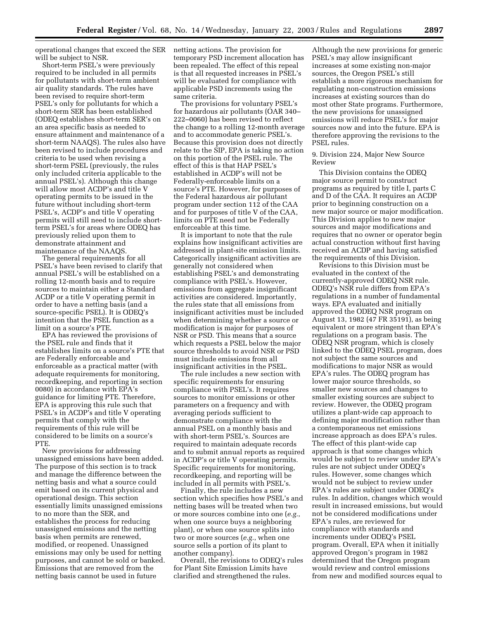operational changes that exceed the SER will be subject to NSR.

Short-term PSEL's were previously required to be included in all permits for pollutants with short-term ambient air quality standards. The rules have been revised to require short-term PSEL's only for pollutants for which a short-term SER has been established (ODEQ establishes short-term SER's on an area specific basis as needed to ensure attainment and maintenance of a short-term NAAQS). The rules also have been revised to include procedures and criteria to be used when revising a short-term PSEL (previously, the rules only included criteria applicable to the annual PSEL's). Although this change will allow most ACDP's and title V operating permits to be issued in the future without including short-term PSEL's, ACDP's and title V operating permits will still need to include shortterm PSEL's for areas where ODEQ has previously relied upon them to demonstrate attainment and maintenance of the NAAQS.

The general requirements for all PSEL's have been revised to clarify that annual PSEL's will be established on a rolling 12-month basis and to require sources to maintain either a Standard ACDP or a title V operating permit in order to have a netting basis (and a source-specific PSEL). It is ODEQ's intention that the PSEL function as a limit on a source's PTE.

EPA has reviewed the provisions of the PSEL rule and finds that it establishes limits on a source's PTE that are Federally enforceable and enforceable as a practical matter (with adequate requirements for monitoring, recordkeeping, and reporting in section 0080) in accordance with EPA's guidance for limiting PTE. Therefore, EPA is approving this rule such that PSEL's in ACDP's and title V operating permits that comply with the requirements of this rule will be considered to be limits on a source's PTE.

New provisions for addressing unassigned emissions have been added. The purpose of this section is to track and manage the difference between the netting basis and what a source could emit based on its current physical and operational design. This section essentially limits unassigned emissions to no more than the SER, and establishes the process for reducing unassigned emissions and the netting basis when permits are renewed, modified, or reopened. Unassigned emissions may only be used for netting purposes, and cannot be sold or banked. Emissions that are removed from the netting basis cannot be used in future

netting actions. The provision for temporary PSD increment allocation has been repealed. The effect of this repeal is that all requested increases in PSEL's will be evaluated for compliance with applicable PSD increments using the same criteria.

The provisions for voluntary PSEL's for hazardous air pollutants (OAR 340– 222–0060) has been revised to reflect the change to a rolling 12-month average and to accommodate generic PSEL's. Because this provision does not directly relate to the SIP, EPA is taking no action on this portion of the PSEL rule. The effect of this is that HAP PSEL's established in ACDP's will not be Federally-enforceable limits on a source's PTE. However, for purposes of the Federal hazardous air pollutant program under section 112 of the CAA and for purposes of title V of the CAA, limits on PTE need not be Federally enforceable at this time.

It is important to note that the rule explains how insignificant activities are addressed in plant-site emission limits. Categorically insignificant activities are generally not considered when establishing PSEL's and demonstrating compliance with PSEL's. However, emissions from aggregate insignificant activities are considered. Importantly, the rules state that all emissions from insignificant activities must be included when determining whether a source or modification is major for purposes of NSR or PSD. This means that a source which requests a PSEL below the major source thresholds to avoid NSR or PSD must include emissions from all insignificant activities in the PSEL.

The rule includes a new section with specific requirements for ensuring compliance with PSEL's. It requires sources to monitor emissions or other parameters on a frequency and with averaging periods sufficient to demonstrate compliance with the annual PSEL on a monthly basis and with short-term PSEL's. Sources are required to maintain adequate records and to submit annual reports as required in ACDP's or title V operating permits. Specific requirements for monitoring, recordkeeping, and reporting will be included in all permits with PSEL's.

Finally, the rule includes a new section which specifies how PSEL's and netting bases will be treated when two or more sources combine into one (*e.g.*, when one source buys a neighboring plant), or when one source splits into two or more sources (*e.g.*, when one source sells a portion of its plant to another company).

Overall, the revisions to ODEQ's rules for Plant Site Emission Limits have clarified and strengthened the rules.

Although the new provisions for generic PSEL's may allow insignificant increases at some existing non-major sources, the Oregon PSEL's still establish a more rigorous mechanism for regulating non-construction emissions increases at existing sources than do most other State programs. Furthermore, the new provisions for unassigned emissions will reduce PSEL's for major sources now and into the future. EPA is therefore approving the revisions to the PSEL rules.

9. Division 224, Major New Source Review

This Division contains the ODEQ major source permit to construct programs as required by title I, parts C and D of the CAA. It requires an ACDP prior to beginning construction on a new major source or major modification. This Division applies to new major sources and major modifications and requires that no owner or operator begin actual construction without first having received an ACDP and having satisfied the requirements of this Division.

Revisions to this Division must be evaluated in the context of the currently-approved ODEQ NSR rule. ODEQ's NSR rule differs from EPA's regulations in a number of fundamental ways. EPA evaluated and initially approved the ODEQ NSR program on August 13, 1982 (47 FR 35191), as being equivalent or more stringent than EPA's regulations on a program basis. The ODEQ NSR program, which is closely linked to the ODEQ PSEL program, does not subject the same sources and modifications to major NSR as would EPA's rules. The ODEQ program has lower major source thresholds, so smaller new sources and changes to smaller existing sources are subject to review. However, the ODEQ program utilizes a plant-wide cap approach to defining major modification rather than a contemporaneous net emissions increase approach as does EPA's rules. The effect of this plant-wide cap approach is that some changes which would be subject to review under EPA's rules are not subject under ODEQ's rules. However, some changes which would not be subject to review under EPA's rules are subject under ODEQ's rules. In addition, changes which would result in increased emissions, but would not be considered modifications under EPA's rules, are reviewed for compliance with standards and increments under ODEQ's PSEL program. Overall, EPA when it initially approved Oregon's program in 1982 determined that the Oregon program would review and control emissions from new and modified sources equal to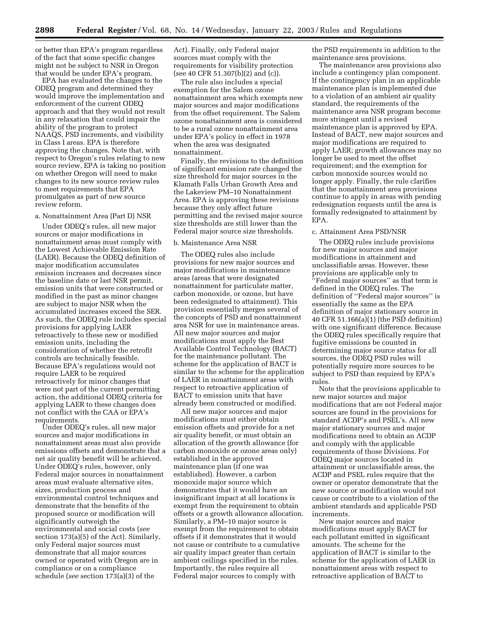or better than EPA's program regardless of the fact that some specific changes might not be subject to NSR in Oregon that would be under EPA's program.

EPA has evaluated the changes to the ODEQ program and determined they would improve the implementation and enforcement of the current ODEQ approach and that they would not result in any relaxation that could impair the ability of the program to protect NAAQS, PSD increments, and visibility in Class I areas. EPA is therefore approving the changes. Note that, with respect to Oregon's rules relating to new source review, EPA is taking no position on whether Oregon will need to make changes to its new source review rules to meet requirements that EPA promulgates as part of new source review reform.

#### a. Nonattainment Area (Part D) NSR

Under ODEQ's rules, all new major sources or major modifications in nonattainment areas must comply with the Lowest Achievable Emission Rate (LAER). Because the ODEQ definition of major modification accumulates emission increases and decreases since the baseline date or last NSR permit, emission units that were constructed or modified in the past as minor changes are subject to major NSR when the accumulated increases exceed the SER. As such, the ODEQ rule includes special provisions for applying LAER retroactively to these new or modified emission units, including the consideration of whether the retrofit controls are technically feasible. Because EPA's regulations would not require LAER to be required retroactively for minor changes that were not part of the current permitting action, the additional ODEQ criteria for applying LAER to these changes does not conflict with the CAA or EPA's requirements.

Under ODEQ's rules, all new major sources and major modifications in nonattainment areas must also provide emissions offsets and demonstrate that a net air quality benefit will be achieved. Under ODEQ's rules, however, only Federal major sources in nonattainment areas must evaluate alternative sites, sizes, production process and environmental control techniques and demonstrate that the benefits of the proposed source or modification will significantly outweigh the environmental and social costs (*see* section 173(a)(5) of the Act). Similarly, only Federal major sources must demonstrate that all major sources owned or operated with Oregon are in compliance or on a compliance schedule (*see* section 173(a)(3) of the

Act). Finally, only Federal major sources must comply with the requirements for visibility protection (see 40 CFR 51.307(b)(2) and (c)).

The rule also includes a special exemption for the Salem ozone nonattainment area which exempts new major sources and major modifications from the offset requirement. The Salem ozone nonattainment area is considered to be a rural ozone nonattainment area under EPA's policy in effect in 1978 when the area was designated nonattainment.

Finally, the revisions to the definition of significant emission rate changed the size threshold for major sources in the Klamath Falls Urban Growth Area and the Lakeview PM–10 Nonattainment Area. EPA is approving these revisions because they only affect future permitting and the revised major source size thresholds are still lower than the Federal major source size thresholds.

#### b. Maintenance Area NSR

The ODEQ rules also include provisions for new major sources and major modifications in maintenance areas (areas that were designated nonattainment for particulate matter, carbon monoxide, or ozone, but have been redesignated to attainment). This provision essentially merges several of the concepts of PSD and nonattainment area NSR for use in maintenance areas. All new major sources and major modifications must apply the Best Available Control Technology (BACT) for the maintenance pollutant. The scheme for the application of BACT is similar to the scheme for the application of LAER in nonattainment areas with respect to retroactive application of BACT to emission units that have already been constructed or modified.

All new major sources and major modifications must either obtain emission offsets and provide for a net air quality benefit, or must obtain an allocation of the growth allowance (for carbon monoxide or ozone areas only) established in the approved maintenance plan (if one was established). However, a carbon monoxide major source which demonstrates that it would have an insignificant impact at all locations is exempt from the requirement to obtain offsets or a growth allowance allocation. Similarly, a PM–10 major source is exempt from the requirement to obtain offsets if it demonstrates that it would not cause or contribute to a cumulative air quality impact greater than certain ambient ceilings specified in the rules. Importantly, the rules require all Federal major sources to comply with

the PSD requirements in addition to the maintenance area provisions.

The maintenance area provisions also include a contingency plan component. If the contingency plan in an applicable maintenance plan is implemented due to a violation of an ambient air quality standard, the requirements of the maintenance area NSR program become more stringent until a revised maintenance plan is approved by EPA. Instead of BACT, new major sources and major modifications are required to apply LAER; growth allowances may no longer be used to meet the offset requirement; and the exemption for carbon monoxide sources would no longer apply. Finally, the rule clarifies that the nonattainment area provisions continue to apply in areas with pending redesignation requests until the area is formally redesignated to attainment by EPA.

# c. Attainment Area PSD/NSR

The ODEQ rules include provisions for new major sources and major modifications in attainment and unclassifiable areas. However, these provisions are applicable only to ''Federal major sources'' as that term is defined in the ODEQ rules. The definition of ''Federal major sources'' is essentially the same as the EPA definition of major stationary source in 40 CFR 51.166(a)(1) (the PSD definition) with one significant difference. Because the ODEQ rules specifically require that fugitive emissions be counted in determining major source status for all sources, the ODEQ PSD rules will potentially require more sources to be subject to PSD than required by EPA's rules.

Note that the provisions applicable to new major sources and major modifications that are not Federal major sources are found in the provisions for standard ACDP's and PSEL's. All new major stationary sources and major modifications need to obtain an ACDP and comply with the applicable requirements of those Divisions. For ODEQ major sources located in attainment or unclassifiable areas, the ACDP and PSEL rules require that the owner or operator demonstrate that the new source or modification would not cause or contribute to a violation of the ambient standards and applicable PSD increments.

New major sources and major modifications must apply BACT for each pollutant emitted in significant amounts. The scheme for the application of BACT is similar to the scheme for the application of LAER in nonattainment areas with respect to retroactive application of BACT to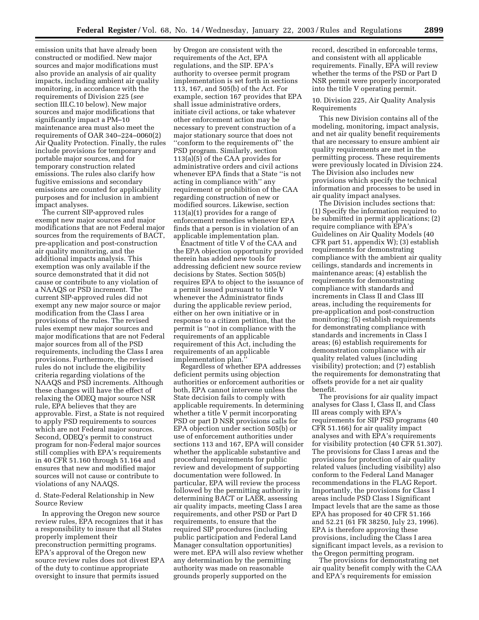emission units that have already been constructed or modified. New major sources and major modifications must also provide an analysis of air quality impacts, including ambient air quality monitoring, in accordance with the requirements of Division 225 (*see* section III.C.10 below). New major sources and major modifications that significantly impact a PM–10 maintenance area must also meet the requirements of OAR 340–224–0060(2) Air Quality Protection. Finally, the rules include provisions for temporary and portable major sources, and for temporary construction related emissions. The rules also clarify how fugitive emissions and secondary emissions are counted for applicability purposes and for inclusion in ambient impact analyses.

The current SIP-approved rules exempt new major sources and major modifications that are not Federal major sources from the requirements of BACT, pre-application and post-construction air quality monitoring, and the additional impacts analysis. This exemption was only available if the source demonstrated that it did not cause or contribute to any violation of a NAAQS or PSD increment. The current SIP-approved rules did not exempt any new major source or major modification from the Class I area provisions of the rules. The revised rules exempt new major sources and major modifications that are not Federal major sources from all of the PSD requirements, including the Class I area provisions. Furthermore, the revised rules do not include the eligibility criteria regarding violations of the NAAQS and PSD increments. Although these changes will have the effect of relaxing the ODEQ major source NSR rule, EPA believes that they are approvable. First, a State is not required to apply PSD requirements to sources which are not Federal major sources. Second, ODEQ's permit to construct program for non-Federal major sources still complies with EPA's requirements in 40 CFR 51.160 through 51.164 and ensures that new and modified major sources will not cause or contribute to violations of any NAAQS.

d. State-Federal Relationship in New Source Review

In approving the Oregon new source review rules, EPA recognizes that it has a responsibility to insure that all States properly implement their preconstruction permitting programs. EPA's approval of the Oregon new source review rules does not divest EPA of the duty to continue appropriate oversight to insure that permits issued

by Oregon are consistent with the requirements of the Act, EPA regulations, and the SIP. EPA's authority to oversee permit program implementation is set forth in sections 113, 167, and 505(b) of the Act. For example, section 167 provides that EPA shall issue administrative orders, initiate civil actions, or take whatever other enforcement action may be necessary to prevent construction of a major stationary source that does not ''conform to the requirements of'' the PSD program. Similarly, section 113(a)(5) of the CAA provides for administrative orders and civil actions whenever EPA finds that a State ''is not acting in compliance with'' any requirement or prohibition of the CAA regarding construction of new or modified sources. Likewise, section 113(a)(1) provides for a range of enforcement remedies whenever EPA finds that a person is in violation of an applicable implementation plan.

Enactment of title V of the CAA and the EPA objection opportunity provided therein has added new tools for addressing deficient new source review decisions by States. Section 505(b) requires EPA to object to the issuance of a permit issued pursuant to title V whenever the Administrator finds during the applicable review period, either on her own initiative or in response to a citizen petition, that the permit is ''not in compliance with the requirements of an applicable requirement of this Act, including the requirements of an applicable implementation plan.

Regardless of whether EPA addresses deficient permits using objection authorities or enforcement authorities or both, EPA cannot intervene unless the State decision fails to comply with applicable requirements. In determining whether a title V permit incorporating PSD or part D NSR provisions calls for EPA objection under section 505(b) or use of enforcement authorities under sections 113 and 167, EPA will consider whether the applicable substantive and procedural requirements for public review and development of supporting documentation were followed. In particular, EPA will review the process followed by the permitting authority in determining BACT or LAER, assessing air quality impacts, meeting Class I area requirements, and other PSD or Part D requirements, to ensure that the required SIP procedures (including public participation and Federal Land Manager consultation opportunities) were met. EPA will also review whether any determination by the permitting authority was made on reasonable grounds properly supported on the

record, described in enforceable terms, and consistent with all applicable requirements. Finally, EPA will review whether the terms of the PSD or Part D NSR permit were properly incorporated into the title V operating permit.

10. Division 225, Air Quality Analysis Requirements

This new Division contains all of the modeling, monitoring, impact analysis, and net air quality benefit requirements that are necessary to ensure ambient air quality requirements are met in the permitting process. These requirements were previously located in Division 224. The Division also includes new provisions which specify the technical information and processes to be used in air quality impact analyses.

The Division includes sections that: (1) Specify the information required to be submitted in permit applications; (2) require compliance with EPA's Guidelines on Air Quality Models (40 CFR part 51, appendix W); (3) establish requirements for demonstrating compliance with the ambient air quality ceilings, standards and increments in maintenance areas; (4) establish the requirements for demonstrating compliance with standards and increments in Class II and Class III areas, including the requirements for pre-application and post-construction monitoring; (5) establish requirements for demonstrating compliance with standards and increments in Class I areas; (6) establish requirements for demonstration compliance with air quality related values (including visibility) protection; and (7) establish the requirements for demonstrating that offsets provide for a net air quality benefit.

The provisions for air quality impact analyses for Class I, Class II, and Class III areas comply with EPA's requirements for SIP PSD programs (40 CFR 51.166) for air quality impact analyses and with EPA's requirements for visibility protection (40 CFR 51.307). The provisions for Class I areas and the provisions for protection of air quality related values (including visibility) also conform to the Federal Land Manager recommendations in the FLAG Report. Importantly, the provisions for Class I areas include PSD Class I Significant Impact levels that are the same as those EPA has proposed for 40 CFR 51.166 and 52.21 (61 FR 38250, July 23, 1996). EPA is therefore approving these provisions, including the Class I area significant impact levels, as a revision to the Oregon permitting program.

The provisions for demonstrating net air quality benefit comply with the CAA and EPA's requirements for emission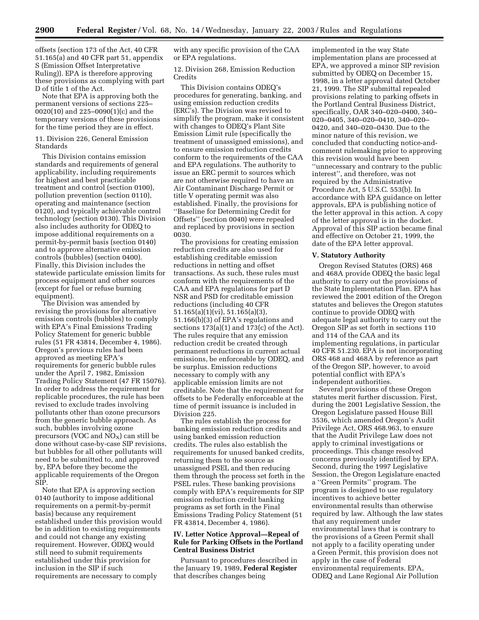offsets (section 173 of the Act, 40 CFR 51.165(a) and 40 CFR part 51, appendix S (Emission Offset Interpretative Ruling)). EPA is therefore approving these provisions as complying with part D of title 1 of the Act.

Note that EPA is approving both the permanent versions of sections 225– 0020(10) and 225–0090(1)(c) and the temporary versions of these provisions for the time period they are in effect.

11. Division 226, General Emission Standards

This Division contains emission standards and requirements of general applicability, including requirements for highest and best practicable treatment and control (section 0100), pollution prevention (section 0110), operating and maintenance (section 0120), and typically achievable control technology (section 0130). This Division also includes authority for ODEQ to impose additional requirements on a permit-by-permit basis (section 0140) and to approve alternative emission controls (bubbles) (section 0400). Finally, this Division includes the statewide particulate emission limits for process equipment and other sources (except for fuel or refuse burning equipment).

The Division was amended by revising the provisions for alternative emission controls (bubbles) to comply with EPA's Final Emissions Trading Policy Statement for generic bubble rules (51 FR 43814, December 4, 1986). Oregon's previous rules had been approved as meeting EPA's requirements for generic bubble rules under the April 7, 1982, Emission Trading Policy Statement (47 FR 15076). In order to address the requirement for replicable procedures, the rule has been revised to exclude trades involving pollutants other than ozone precursors from the generic bubble approach. As such, bubbles involving ozone precursors (VOC and  $NO<sub>X</sub>$ ) can still be done without case-by-case SIP revisions, but bubbles for all other pollutants will need to be submitted to, and approved by, EPA before they become the applicable requirements of the Oregon SIP.

Note that EPA is approving section 0140 (authority to impose additional requirements on a permit-by-permit basis) because any requirement established under this provision would be in addition to existing requirements and could not change any existing requirement. However, ODEQ would still need to submit requirements established under this provision for inclusion in the SIP if such requirements are necessary to comply

with any specific provision of the CAA or EPA regulations.

12. Division 268, Emission Reduction **Credits** 

This Division contains ODEQ's procedures for generating, banking, and using emission reduction credits (ERC's). The Division was revised to simplify the program, make it consistent with changes to ODEQ's Plant Site Emission Limit rule (specifically the treatment of unassigned emissions), and to ensure emission reduction credits conform to the requirements of the CAA and EPA regulations. The authority to issue an ERC permit to sources which are not otherwise required to have an Air Contaminant Discharge Permit or title V operating permit was also established. Finally, the provisions for ''Baseline for Determining Credit for Offsets'' (section 0040) were repealed and replaced by provisions in section 0030.

The provisions for creating emission reduction credits are also used for establishing creditable emission reductions in netting and offset transactions. As such, these rules must conform with the requirements of the CAA and EPA regulations for part D NSR and PSD for creditable emission reductions (including 40 CFR 51.165(a)(1)(vi), 51.165(a)(3), 51.166(b)(3) of EPA's regulations and sections  $173(a)(1)$  and  $173(c)$  of the Act). The rules require that any emission reduction credit be created through permanent reductions in current actual emissions, be enforceable by ODEQ, and be surplus. Emission reductions necessary to comply with any applicable emission limits are not creditable. Note that the requirement for offsets to be Federally enforceable at the time of permit issuance is included in Division 225.

The rules establish the process for banking emission reduction credits and using banked emission reduction credits. The rules also establish the requirements for unused banked credits, returning them to the source as unassigned PSEL and then reducing them through the process set forth in the PSEL rules. These banking provisions comply with EPA's requirements for SIP emission reduction credit banking programs as set forth in the Final Emissions Trading Policy Statement (51 FR 43814, December 4, 1986).

## **IV. Letter Notice Approval—Repeal of Rule for Parking Offsets in the Portland Central Business District**

Pursuant to procedures described in the January 19, 1989, **Federal Register** that describes changes being

implemented in the way State implementation plans are processed at EPA, we approved a minor SIP revision submitted by ODEQ on December 15, 1998, in a letter approval dated October 21, 1999. The SIP submittal repealed provisions relating to parking offsets in the Portland Central Business District, specifically, OAR 340–020–0400, 340– 020–0405, 340–020–0410, 340–020– 0420, and 340–020–0430. Due to the minor nature of this revision, we concluded that conducting notice-andcomment rulemaking prior to approving this revision would have been ''unnecessary and contrary to the public interest'', and therefore, was not required by the Administrative Procedure Act, 5 U.S.C. 553(b). In accordance with EPA guidance on letter approvals, EPA is publishing notice of the letter approval in this action. A copy of the letter approval is in the docket. Approval of this SIP action became final and effective on October 21, 1999, the date of the EPA letter approval.

### **V. Statutory Authority**

Oregon Revised Statutes (ORS) 468 and 468A provide ODEQ the basic legal authority to carry out the provisions of the State Implementation Plan. EPA has reviewed the 2001 edition of the Oregon statutes and believes the Oregon statutes continue to provide ODEQ with adequate legal authority to carry out the Oregon SIP as set forth in sections 110 and 114 of the CAA and its implementing regulations, in particular 40 CFR 51.230. EPA is not incorporating ORS 468 and 468A by reference as part of the Oregon SIP, however, to avoid potential conflict with EPA's independent authorities.

Several provisions of these Oregon statutes merit further discussion. First, during the 2001 Legislative Session, the Oregon Legislature passed House Bill 3536, which amended Oregon's Audit Privilege Act, ORS 468.963, to ensure that the Audit Privilege Law does not apply to criminal investigations or proceedings. This change resolved concerns previously identified by EPA. Second, during the 1997 Legislative Session, the Oregon Legislature enacted a ''Green Permits'' program. The program is designed to use regulatory incentives to achieve better environmental results than otherwise required by law. Although the law states that any requirement under environmental laws that is contrary to the provisions of a Green Permit shall not apply to a facility operating under a Green Permit, this provision does not apply in the case of Federal environmental requirements. EPA, ODEQ and Lane Regional Air Pollution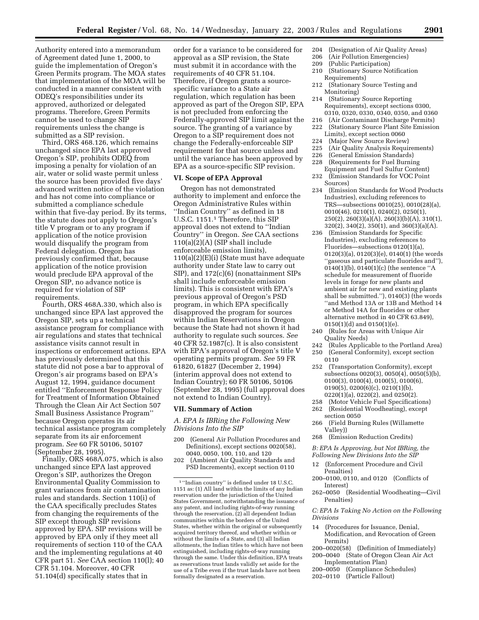Authority entered into a memorandum of Agreement dated June 1, 2000, to guide the implementation of Oregon's Green Permits program. The MOA states that implementation of the MOA will be conducted in a manner consistent with ODEQ's responsibilities under its approved, authorized or delegated programs. Therefore, Green Permits cannot be used to change SIP requirements unless the change is submitted as a SIP revision.

Third, ORS 468.126, which remains unchanged since EPA last approved Oregon's SIP, prohibits ODEQ from imposing a penalty for violation of an air, water or solid waste permit unless the source has been provided five days' advanced written notice of the violation and has not come into compliance or submitted a compliance schedule within that five-day period. By its terms, the statute does not apply to Oregon's title V program or to any program if application of the notice provision would disqualify the program from Federal delegation. Oregon has previously confirmed that, because application of the notice provision would preclude EPA approval of the Oregon SIP, no advance notice is required for violation of SIP requirements.

Fourth, ORS 468A.330, which also is unchanged since EPA last approved the Oregon SIP, sets up a technical assistance program for compliance with air regulations and states that technical assistance visits cannot result in inspections or enforcement actions. EPA has previously determined that this statute did not pose a bar to approval of Oregon's air programs based on EPA's August 12, 1994, guidance document entitled ''Enforcement Response Policy for Treatment of Information Obtained Through the Clean Air Act Section 507 Small Business Assistance Program'' because Oregon operates its air technical assistance program completely separate from its air enforcement program. *See* 60 FR 50106, 50107 (September 28, 1995).

Finally, ORS 468A.075, which is also unchanged since EPA last approved Oregon's SIP, authorizes the Oregon Environmental Quality Commission to grant variances from air contamination rules and standards. Section 110(i) of the CAA specifically precludes States from changing the requirements of the SIP except through SIP revisions approved by EPA. SIP revisions will be approved by EPA only if they meet all requirements of section 110 of the CAA and the implementing regulations at 40 CFR part 51. *See* CAA section 110(l); 40 CFR 51.104. Moreover, 40 CFR 51.104(d) specifically states that in

order for a variance to be considered for approval as a SIP revision, the State must submit it in accordance with the requirements of 40 CFR 51.104. Therefore, if Oregon grants a sourcespecific variance to a State air regulation, which regulation has been approved as part of the Oregon SIP, EPA is not precluded from enforcing the Federally-approved SIP limit against the source. The granting of a variance by Oregon to a SIP requirement does not change the Federally-enforceable SIP requirement for that source unless and until the variance has been approved by EPA as a source-specific SIP revision.

### **VI. Scope of EPA Approval**

Oregon has not demonstrated authority to implement and enforce the Oregon Administrative Rules within ''Indian Country'' as defined in 18 U.S.C. 1151.1 Therefore, this SIP approval does not extend to ''Indian Country'' in Oregon. *See* CAA sections  $110(a)(2)(A)$  (SIP shall include enforceable emission limits), 110(a)(2)(E)(i) (State must have adequate authority under State law to carry out SIP), and 172(c)(6) (nonattainment SIPs shall include enforceable emission limits). This is consistent with EPA's previous approval of Oregon's PSD program, in which EPA specifically disapproved the program for sources within Indian Reservations in Oregon because the State had not shown it had authority to regulate such sources. *See* 40 CFR 52.1987(c). It is also consistent with EPA's approval of Oregon's title V operating permits program. *See* 59 FR 61820, 61827 (December 2, 1994) (interim approval does not extend to Indian Country); 60 FR 50106, 50106 (September 28, 1995) (full approval does not extend to Indian Country).

### **VII. Summary of Action**

*A. EPA Is IBRing the Following New Divisions Into the SIP*

- 200 (General Air Pollution Procedures and Definitions), except sections 0020(58), 0040, 0050, 100, 110, and 120
- 202 (Ambient Air Quality Standards and PSD Increments), except section 0110
- 204 (Designation of Air Quality Areas)
- 206 (Air Pollution Emergencies)
- 209 (Public Participation)
- 210 (Stationary Source Notification Requirements)
- 212 (Stationary Source Testing and Monitoring)
- 214 (Stationary Source Reporting Requirements), except sections 0300, 0310, 0320, 0330, 0340, 0350, and 0360
- 216 (Air Contaminant Discharge Permits)
- 222 (Stationary Source Plant Site Emission Limits), except section 0060
- 224 (Major New Source Review)
- 225 (Air Quality Analysis Requirements)
- 226 (General Emission Standards)
- 228 (Requirements for Fuel Burning Equipment and Fuel Sulfur Content)
- 232 (Emission Standards for VOC Point Sources)
- 234 (Emission Standards for Wood Products Industries), excluding references to TRS—subsections 0010(25), 0010(28)(a), 0010(46), 0210(1), 0240(2), 0250(1), 250(2), 260(3)(a)(A), 260(3)(b)(A), 310(1), 320(2), 340(2), 350(1), and 360(3)(a)(A).
- 236 (Emission Standards for Specific Industries), excluding references to Fluorides—subsections 0120(1)(a), 0120(3)(a), 0120(3)(e), 0140(1) (the words ''gaseous and particulate fluorides and''), 0140(1)(b), 0140(1)(c) (the sentence ''A schedule for measurement of fluoride levels in forage for new plants and ambient air for new and existing plants shall be submitted."),  $0140(3)$  (the words ''and Method 13A or 13B and Method 14 or Method 14A for fluorides or other alternative method in 40 CFR 63.849),  $0150(1)(d)$  and  $0150(1)(e)$ .
- 240 (Rules for Areas with Unique Air Quality Needs)
- 242 (Rules Applicable to the Portland Area) 250 (General Conformity), except section
- 0110
	- 252 (Transportation Conformity), except subsections 0020(3), 0050(4), 0050(5)(b), 0100(3), 0100(4), 0100(5), 0100(6), 0190(5), 0200(6)(c), 0210(1)(b), 0220(1)(a), 0220(2), and 0250(2).
	- 258 (Motor Vehicle Fuel Specifications)
	- 262 (Residential Woodheating), except section 0050
	- 266 (Field Burning Rules (Willamette Valley))
	- 268 (Emission Reduction Credits)

*B: EPA Is Approving, but Not IBRing, the* 

- *Following New Divisions Into the SIP*
- (Enforcement Procedure and Civil Penalties)
- 200–0100, 0110, and 0120 (Conflicts of Interest)
- 262–0050 (Residential Woodheating—Civil Penalties)

*C: EPA Is Taking No Action on the Following Divisions* 

- 14 (Procedures for Issuance, Denial, Modification, and Revocation of Green Permits)
- 200–0020(58) (Definition of Immediately)
- 200–0040 (State of Oregon Clean Air Act Implementation Plan)
- 200–0050 (Compliance Schedules)
- 202–0110 (Particle Fallout)

<sup>1</sup> ''Indian country'' is defined under 18 U.S.C. 1151 as: (1) All land within the limits of any Indian reservation under the jurisdiction of the United States Government, notwithstanding the issuance of any patent, and including rights-of-way running through the reservation, (2) all dependent Indian communities within the borders of the United States, whether within the original or subsequently acquired territory thereof, and whether within or without the limits of a State, and (3) all Indian allotments, the Indian titles to which have not been extinguished, including rights-of-way running through the same. Under this definition, EPA treats as reservations trust lands validly set aside for the use of a Tribe even if the trust lands have not been formally designated as a reservation.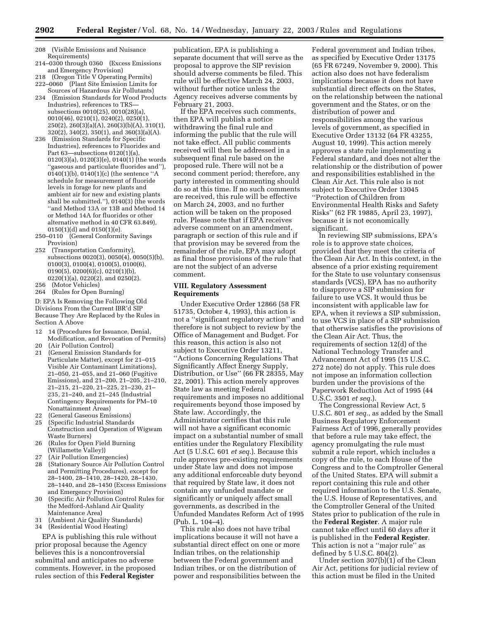- 208 (Visible Emissions and Nuisance Requirements)
- 214–0300 through 0360 (Excess Emissions and Emergency Provision)
- 218 (Oregon Title V Operating Permits)
- 222–0060 (Plant Site Emission Limits for Sources of Hazardous Air Pollutants)
- 234 (Emission Standards for Wood Products Industries), references to TRS subsections 0010(25), 0010(28)(a), 0010(46), 0210(1), 0240(2), 0250(1), 250(2), 260(3)(a)(A), 260(3)(b)(A), 310(1), 320(2), 340(2), 350(1), and 360(3)(a)(A).
- 236 (Emission Standards for Specific Industries), references to Fluorides and Part 63—subsections 0120(1)(a), 0120(3)(a), 0120(3)(e), 0140(1) (the words ''gaseous and particulate fluorides and''), 0140(1)(b), 0140(1)(c) (the sentence ''A schedule for measurement of fluoride levels in forage for new plants and ambient air for new and existing plants shall be submitted.''), 0140(3) (the words ''and Method 13A or 13B and Method 14 or Method 14A for fluorides or other alternative method in 40 CFR 63.849), 0150(1)(d) and 0150(1)(e).
- 250–0110 (General Conformity Savings Provision)
- 252 (Transportation Conformity), subsections 0020(3), 0050(4), 0050(5)(b), 0100(3), 0100(4), 0100(5), 0100(6), 0190(5), 0200(6)(c), 0210(1)(b), 0220(1)(a), 0220(2), and 0250(2).
- 256 (Motor Vehicles)
- 264 (Rules for Open Burning)

D: EPA Is Removing the Following Old Divisions From the Current IBR'd SIP Because They Are Replaced by the Rules in Section A Above

- 12 14 (Procedures for Issuance, Denial, Modification, and Revocation of Permits) 20 (Air Pollution Control)
- 21 (General Emission Standards for Particulate Matter), except for 21–015 Visible Air Contaminant Limitations), 21–050, 21–055, and 21–060 (Fugitive Emissions), and 21–200, 21–205, 21–210, 21–215, 21–220, 21–225, 21–230, 21– 235, 21–240, and 21–245 (Industrial Contingency Requirements for PM–10 Nonattainment Areas)
- 22 (General Gaseous Emissions)
- 25 (Specific Industrial Standards Construction and Operation of Wigwam Waste Burners)
- 26 (Rules for Open Field Burning (Willamette Valley))
- 27 (Air Pollution Emergencies)<br>28 (Stationary Source Air Pollu
- (Stationary Source Air Pollution Control and Permitting Procedures), except for 28–1400, 28–1410, 28–1420, 28–1430, 28–1440, and 28–1450 (Excess Emissions and Emergency Provision)
- 30 (Specific Air Pollution Control Rules for the Medford-Ashland Air Quality Maintenance Area)
- 31 (Ambient Air Quality Standards)
- 34 (Residential Wood Heating)

EPA is publishing this rule without prior proposal because the Agency believes this is a noncontroversial submittal and anticipates no adverse comments. However, in the proposed rules section of this **Federal Register**

publication, EPA is publishing a separate document that will serve as the proposal to approve the SIP revision should adverse comments be filed. This rule will be effective March 24, 2003, without further notice unless the Agency receives adverse comments by February 21, 2003.

If the EPA receives such comments, then EPA will publish a notice withdrawing the final rule and informing the public that the rule will not take effect. All public comments received will then be addressed in a subsequent final rule based on the proposed rule. There will not be a second comment period; therefore, any party interested in commenting should do so at this time. If no such comments are received, this rule will be effective on March 24, 2003, and no further action will be taken on the proposed rule. Please note that if EPA receives adverse comment on an amendment, paragraph or section of this rule and if that provision may be severed from the remainder of the rule, EPA may adopt as final those provisions of the rule that are not the subject of an adverse comment.

### **VIII. Regulatory Assessment Requirements**

Under Executive Order 12866 (58 FR 51735, October 4, 1993), this action is not a ''significant regulatory action'' and therefore is not subject to review by the Office of Management and Budget. For this reason, this action is also not subject to Executive Order 13211, ''Actions Concerning Regulations That Significantly Affect Energy Supply, Distribution, or Use'' (66 FR 28355, May 22, 2001). This action merely approves State law as meeting Federal requirements and imposes no additional requirements beyond those imposed by State law. Accordingly, the Administrator certifies that this rule will not have a significant economic impact on a substantial number of small entities under the Regulatory Flexibility Act (5 U.S.C. 601 *et seq.*). Because this rule approves pre-existing requirements under State law and does not impose any additional enforceable duty beyond that required by State law, it does not contain any unfunded mandate or significantly or uniquely affect small governments, as described in the Unfunded Mandates Reform Act of 1995 (Pub. L. 104–4).

This rule also does not have tribal implications because it will not have a substantial direct effect on one or more Indian tribes, on the relationship between the Federal government and Indian tribes, or on the distribution of power and responsibilities between the

Federal government and Indian tribes, as specified by Executive Order 13175 (65 FR 67249, November 9, 2000). This action also does not have federalism implications because it does not have substantial direct effects on the States, on the relationship between the national government and the States, or on the distribution of power and responsibilities among the various levels of government, as specified in Executive Order 13132 (64 FR 43255, August 10, 1999). This action merely approves a state rule implementing a Federal standard, and does not alter the relationship or the distribution of power and responsibilities established in the Clean Air Act. This rule also is not subject to Executive Order 13045 ''Protection of Children from Environmental Health Risks and Safety Risks'' (62 FR 19885, April 23, 1997), because it is not economically significant.

In reviewing SIP submissions, EPA's role is to approve state choices, provided that they meet the criteria of the Clean Air Act. In this context, in the absence of a prior existing requirement for the State to use voluntary consensus standards (VCS), EPA has no authority to disapprove a SIP submission for failure to use VCS. It would thus be inconsistent with applicable law for EPA, when it reviews a SIP submission, to use VCS in place of a SIP submission that otherwise satisfies the provisions of the Clean Air Act. Thus, the requirements of section 12(d) of the National Technology Transfer and Advancement Act of 1995 (15 U.S.C. 272 note) do not apply. This rule does not impose an information collection burden under the provisions of the Paperwork Reduction Act of 1995 (44 U.S.C. 3501 *et seq.*).

The Congressional Review Act, 5 U.S.C. 801 *et seq.*, as added by the Small Business Regulatory Enforcement Fairness Act of 1996, generally provides that before a rule may take effect, the agency promulgating the rule must submit a rule report, which includes a copy of the rule, to each House of the Congress and to the Comptroller General of the United States. EPA will submit a report containing this rule and other required information to the U.S. Senate, the U.S. House of Representatives, and the Comptroller General of the United States prior to publication of the rule in the **Federal Register**. A major rule cannot take effect until 60 days after it is published in the **Federal Register**. This action is not a ''major rule'' as defined by 5 U.S.C. 804 $(2)$ .

Under section 307(b)(1) of the Clean Air Act, petitions for judicial review of this action must be filed in the United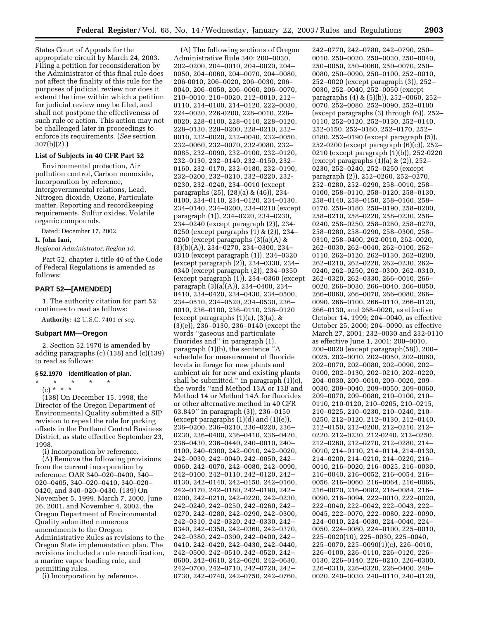States Court of Appeals for the appropriate circuit by March 24, 2003. Filing a petition for reconsideration by the Administrator of this final rule does not affect the finality of this rule for the purposes of judicial review nor does it extend the time within which a petition for judicial review may be filed, and shall not postpone the effectiveness of such rule or action. This action may not be challenged later in proceedings to enforce its requirements. (*See* section 307(b)(2).)

## **List of Subjects in 40 CFR Part 52**

Environmental protection, Air pollution control, Carbon monoxide, Incorporation by reference, Intergovernmental relations, Lead, Nitrogen dioxide, Ozone, Particulate matter, Reporting and recordkeeping requirements, Sulfur oxides, Volatile organic compounds.

Dated: December 17, 2002.

### **L. John Iani,**

*Regional Administrator, Region 10.*

Part 52, chapter I, title 40 of the Code of Federal Regulations is amended as follows:

## **PART 52—[AMENDED]**

1. The authority citation for part 52 continues to read as follows:

**Authority:** 42 U.S.C. 7401 *et seq.*

### **Subpart MM—Oregon**

2. Section 52.1970 is amended by adding paragraphs (c) (138) and (c)(139) to read as follows:

# **§ 52.1970 Identification of plan.**

\* \* \* \* \* (c) \* \* \*

(138) On December 15, 1998, the Director of the Oregon Department of Environmental Quality submitted a SIP revision to repeal the rule for parking offsets in the Portland Central Business District, as state effective September 23, 1998.

(i) Incorporation by reference. (A) Remove the following provisions from the current incorporation by reference: OAR 340–020–0400, 340– 020–0405, 340–020–0410, 340–020– 0420, and 340–020–0430. (139) On November 5, 1999, March 7, 2000, June 26, 2001, and November 4, 2002, the Oregon Department of Environmental Quality submitted numerous amendments to the Oregon Administrative Rules as revisions to the Oregon State implementation plan. The revisions included a rule recodification, a marine vapor loading rule, and permitting rules.

(i) Incorporation by reference.

(A) The following sections of Oregon Administrative Rule 340: 200–0030, 202–0200, 204–0010, 204–0020, 204– 0050, 204–0060, 204–0070, 204–0080, 206-0010, 206–0020, 206–0030, 206– 0040, 206–0050, 206–0060, 206–0070, 210–0010, 210–0020, 212–0010, 212– 0110, 214–0100, 214–0120, 222–0030, 224–0020, 226-0200, 228–0010, 228– 0020, 228–0100, 228–0110, 228–0120, 228–0130, 228–0200, 228–0210, 232– 0010, 232–0020, 232–0040, 232–0050, 232–0060, 232–0070, 232-0080, 232– 0085, 232–0090, 232–0100, 232–0120, 232–0130, 232–0140, 232–0150, 232– 0160, 232–0170, 232–0180, 232–0190, 232–0200, 232–0210, 232–0220, 232- 0230, 232–0240, 234–0010 (except paragraphs (25), (28)(a) & (46)), 234- 0100, 234–0110, 234–0120, 234–0130, 234–0140, 234–0200, 234–0210 (except paragraph (1)), 234–0220, 234–0230, 234–0240 (except paragraph (2)), 234- 0250 (except pargraphs (1) & (2)), 234– 0260 (except paragraphs (3)(a)(A) & (3)(b)(A)), 234–0270, 234–0300, 234– 0310 (except paragraph (1)), 234–0320 (except paragraph (2)), 234–0330, 234– 0340 (except paragraph (2)), 234–0350 (except paragraph (1)), 234–0360 (except paragraph (3)(a)(A)), 234–0400, 234– 0410, 234–0420, 234–0430, 234–0500, 234–0510, 234–0520, 234–0530, 236– 0010, 236–0100, 236–0110, 236–0120 (except paragraphs  $(1)(a)$ ,  $(3)(a)$ , & (3)(e)), 236–0130, 236–0140 (except the words ''gaseous and particulate fluorides and'' in paragraph (1), paragraph (1)(b), the sentence ''A schedule for measurement of fluoride levels in forage for new plants and ambient air for new and existing plants shall be submitted.'' in paragraph (1)(c), the words ''and Method 13A or 13B and Method 14 or Method 14A for fluorides or other alternative method in 40 CFR 63.849'' in paragraph (3)), 236–0150 (except paragraphs (1)(d) and (1)(e)), 236–0200, 236–0210, 236–0220, 236– 0230, 236–0400, 236–0410, 236–0420, 236–0430, 236–0440, 240–0010, 240– 0100, 240–0300, 242–0010, 242–0020, 242–0030, 242–0040, 242–0050, 242– 0060, 242–0070, 242–0080, 242–0090, 242–0100, 242–0110, 242–0120, 242– 0130, 242–0140, 242–0150, 242–0160, 242–0170, 242–0180, 242–0190, 242– 0200, 242–0210, 242–0220, 242–0230, 242–0240, 242–0250, 242–0260, 242– 0270, 242–0280, 242–0290, 242–0300, 242–0310, 242–0320, 242–0330, 242– 0340, 242–0350, 242–0360, 242–0370, 242–0380, 242–0390, 242–0400, 242– 0410, 242–0420, 242–0430, 242–0440, 242–0500, 242–0510, 242–0520, 242– 0600, 242–0610, 242–0620, 242–0630, 242–0700, 242–0710, 242–0720, 242– 0730, 242–0740, 242–0750, 242–0760,

242–0770, 242–0780, 242–0790, 250– 0010, 250–0020, 250–0030, 250–0040, 250–0050, 250–0060, 250–0070, 250– 0080, 250–0090, 250–0100, 252–0010, 252–0020 (except paragraph (3)), 252– 0030, 252–0040, 252–0050 (except paragraphs (4) & (5)(b)), 252–0060, 252– 0070, 252–0080, 252–0090, 252–0100 (except paragraphs (3) through (6)), 252– 0110, 252–0120, 252–0130, 252–0140, 252-0150, 252–0160, 252–0170, 252– 0180, 252–0190 (except paragraph (5)), 252-0200 (except paragraph (6)(c)), 252– 0210 (except paragraph (1)(b)), 252-0220 (except paragraphs (1)(a) & (2)), 252– 0230, 252–0240, 252–0250 (except paragraph (2)), 252–0260, 252–0270, 252–0280, 252–0290, 258–0010, 258– 0100, 258–0110, 258–0120, 258–0130, 258–0140, 258–0150, 258–0160, 258– 0170, 258–0180, 258–0190, 258–0200, 258–0210, 258–0220, 258–0230, 258– 0240, 258–0250, 258–0260, 258–0270, 258–0280, 258–0290, 258–0300, 258– 0310, 258–0400, 262-0010, 262–0020, 262–0030, 262–0040, 262–0100, 262– 0110, 262–0120, 262–0130, 262–0200, 262–0210, 262–0220, 262–0230, 262– 0240, 262–0250, 262–0300, 262–0310, 262–0320, 262–0330, 266–0010, 266– 0020, 266–0030, 266–0040, 266–0050, 266–0060, 266–0070, 266–0080, 266– 0090, 266–0100, 266–0110, 266–0120, 266–0130, and 268–0020, as effective October 14, 1999; 204–0040, as effective October 25, 2000; 204–0090, as effective March 27, 2001; 232–0030 and 232-0110 as effective June 1, 2001; 200–0010, 200–0020 (except paragraph(58)), 200– 0025, 202–0010, 202–0050, 202–0060, 202–0070, 202–0080, 202–0090, 202– 0100, 202–0130, 202–0210, 202–0220, 204–0030, 209–0010, 209–0020, 209– 0030, 209–0040, 209–0050, 209–0060, 209–0070, 209–0080, 210–0100, 210– 0110, 210-0120, 210–0205, 210–0215, 210–0225, 210–0230, 210–0240, 210– 0250, 212–0120, 212–0130, 212–0140, 212–0150, 212–0200, 212–0210, 212– 0220, 212–0230, 212-0240, 212–0250, 212–0260, 212–0270, 212–0280, 214– 0010, 214–0110, 214–0114, 214–0130, 214–0200, 214–0210, 214–0220, 216– 0010, 216–0020, 216–0025, 216–0030, 216–0040, 216–0052, 216–0054, 216– 0056, 216–0060, 216–0064, 216–0066, 216–0070, 216–0082, 216–0084, 216– 0090, 216–0094, 222–0010, 222–0020, 222–0040, 222–0042, 222–0043, 222– 0045, 222–0070, 222–0080, 222–0090, 224–0010, 224–0030, 224–0040, 224– 0050, 224–0080, 224–0100, 225–0010, 225–0020(10), 225–0030, 225–0040, 225–0070, 225–0090(1)(c), 226–0010, 226–0100, 226–0110, 226–0120, 226– 0130, 226–0140, 226–0210, 226–0300, 226–0310, 226–0320, 226–0400, 240– 0020, 240–0030, 240–0110, 240–0120,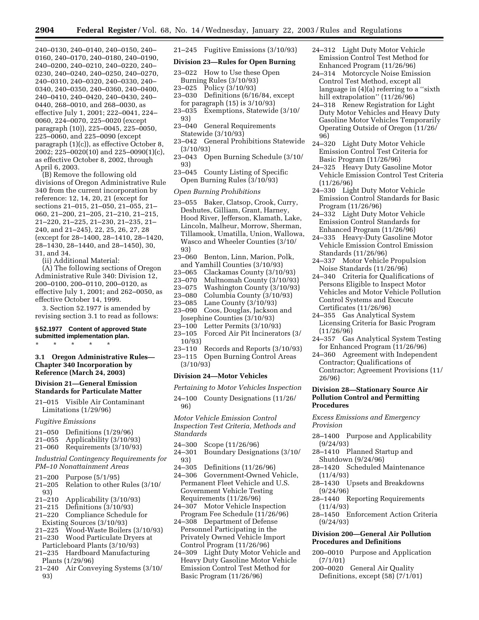240–0130, 240–0140, 240–0150, 240– 0160, 240–0170, 240–0180, 240–0190, 240–0200, 240–0210, 240–0220, 240– 0230, 240–0240, 240–0250, 240–0270, 240–0310, 240–0320, 240–0330, 240– 0340, 240–0350, 240–0360, 240–0400, 240–0410, 240–0420, 240–0430, 240– 0440, 268–0010, and 268–0030, as effective July 1, 2001; 222–0041, 224– 0060, 224–0070, 225–0020 (except paragraph (10)), 225–0045, 225–0050, 225–0060, and 225–0090 (except paragraph (1)(c)), as effective October 8, 2002; 225–0020(10) and 225–0090(1)(c), as effective October 8, 2002, through April 6, 2003.

(B) Remove the following old divisions of Oregon Administrative Rule 340 from the current incorporation by reference: 12, 14, 20, 21 (except for sections 21–015, 21–050, 21–055, 21– 060, 21–200, 21–205, 21–210, 21–215, 21–220, 21–225, 21–230, 21–235, 21– 240, and 21–245), 22, 25, 26, 27, 28 (except for 28–1400, 28–1410, 28–1420, 28–1430, 28–1440, and 28–1450), 30, 31, and 34.

(ii) Additional Material:

(A) The following sections of Oregon Administrative Rule 340: Division 12, 200–0100, 200–0110, 200–0120, as effective July 1, 2001; and 262–0050, as effective October 14, 1999.

3. Section 52.1977 is amended by revising section 3.1 to read as follows:

### **§ 52.1977 Content of approved State submitted implementation plan.**

\* \* \* \* \*

**3.1 Oregon Administrative Rules— Chapter 340 Incorporation by Reference (March 24, 2003)** 

# **Division 21—General Emission Standards for Particulate Matter**

21–015 Visible Air Contaminant Limitations (1/29/96)

### *Fugitive Emissions*

- 
- 21–050 Definitions (1/29/96) Applicability (3/10/93)
- 21–060 Requirements (3/10/93)

*Industrial Contingency Requirements for PM–10 Nonattainment Areas* 

- 21–200 Purpose (5/1/95)
- 21–205 Relation to other Rules (3/10/  $93)$ <br>21–210
- 21–210 Applicability (3/10/93)
- Definitions  $(3/10/93)$
- 21–220 Compliance Schedule for Existing Sources (3/10/93)
- 21–225 Wood-Waste Boilers (3/10/93)
- 21–230 Wood Particulate Dryers at
- Particleboard Plants (3/10/93) 21–235 Hardboard Manufacturing
- Plants (1/29/96) 21–240 Air Conveying Systems (3/10/ 93)

21–245 Fugitive Emissions (3/10/93)

# **Division 23—Rules for Open Burning**

- 23–022 How to Use these Open Burning Rules (3/10/93)
- 23–025 Policy (3/10/93)
- 23–030 Definitions (6/16/84, except for paragraph (15) is 3/10/93)
- 23–035 Exemptions, Statewide (3/10/ 93)
- 23–040 General Requirements Statewide (3/10/93)
- 23–042 General Prohibitions Statewide (3/10/93)
- 23–043 Open Burning Schedule (3/10/ 93)
- 23–045 County Listing of Specific Open Burning Rules (3/10/93)

### *Open Burning Prohibitions*

- 23–055 Baker, Clatsop, Crook, Curry, Deshutes, Gilliam, Grant, Harney, Hood River, Jefferson, Klamath, Lake, Lincoln, Malheur, Morrow, Sherman, Tillamook, Umatilla, Union, Wallowa, Wasco and Wheeler Counties (3/10/ 93)
- 23–060 Benton, Linn, Marion, Polk, and Yamhill Counties (3/10/93)
- 
- 23–065 Clackamas County (3/10/93)
- 23–070 Multnomah County (3/10/93) 23–075 Washington County (3/10/93)
- Columbia County (3/10/93)
- 23–085 Lane County (3/10/93)
- 23–090 Coos, Douglas, Jackson and
- 
- Josephine Counties (3/10/93)<br>23–100 Letter Permits (3/10/9 Letter Permits (3/10/93)
- 23–105 Forced Air Pit Incinerators (3/ 10/93)
- 23–110 Records and Reports (3/10/93)
- 23–115 Open Burning Control Areas
- (3/10/93)

### **Division 24—Motor Vehicles**

*Pertaining to Motor Vehicles Inspection* 

24–100 County Designations (11/26/ 96)

*Motor Vehicle Emission Control Inspection Test Criteria, Methods and Standards*

- 24–300 Scope (11/26/96)
- 24–301 Boundary Designations (3/10/ 93)<br>24–305
- 24–305 Definitions (11/26/96)
- 24–306 Government-Owned Vehicle, Permanent Fleet Vehicle and U.S. Government Vehicle Testing Requirements (11/26/96)
- 24–307 Motor Vehicle Inspection Program Fee Schedule (11/26/96)
- 24–308 Department of Defense Personnel Participating in the Privately Owned Vehicle Import Control Program (11/26/96)
- 24–309 Light Duty Motor Vehicle and Heavy Duty Gasoline Motor Vehicle Emission Control Test Method for Basic Program (11/26/96)
- 24–312 Light Duty Motor Vehicle Emission Control Test Method for Enhanced Program (11/26/96)
- 24–314 Motorcycle Noise Emission Control Test Method, except all language in (4)(a) referring to a ''sixth hill extrapolation" (11/26/96)
- 24–318 Renew Registration for Light Duty Motor Vehicles and Heavy Duty Gasoline Motor Vehicles Temporarily Operating Outside of Oregon (11/26/ 96)
- 24–320 Light Duty Motor Vehicle Emission Control Test Criteria for Basic Program (11/26/96)
- 24–325 Heavy Duty Gasoline Motor Vehicle Emission Control Test Criteria (11/26/96)
- 24–330 Light Duty Motor Vehicle Emission Control Standards for Basic Program (11/26/96)
- 24–332 Light Duty Motor Vehicle Emission Control Standards for Enhanced Program (11/26/96)
- 24–335 Heavy-Duty Gasoline Motor Vehicle Emission Control Emission Standards (11/26/96)
- 24–337 Motor Vehicle Propulsion Noise Standards (11/26/96)
- 24–340 Criteria for Qualifications of Persons Eligible to Inspect Motor Vehicles and Motor Vehicle Pollution Control Systems and Execute Certificates (11/26/96)
- 24–355 Gas Analytical System Licensing Criteria for Basic Program (11/26/96)
- 24–357 Gas Analytical System Testing for Enhanced Program (11/26/96)
- 24–360 Agreement with Independent Contractor; Qualifications of Contractor; Agreement Provisions (11/ 26/96)

## **Division 28—Stationary Source Air Pollution Control and Permitting Procedures**

# *Excess Emissions and Emergency Provision*

- 28–1400 Purpose and Applicability (9/24/93)
- 28–1410 Planned Startup and Shutdown (9/24/96)
- 28–1420 Scheduled Maintenance (11/4/93)
- 28–1430 Upsets and Breakdowns (9/24/96)
- 28–1440 Reporting Requirements  $(11/4/93)$
- 28–1450 Enforcement Action Criteria (9/24/93)

# **Division 200—General Air Pollution Procedures and Definitions**

- 200–0010 Purpose and Application (7/1/01)
- 200–0020 General Air Quality Definitions, except (58) (7/1/01)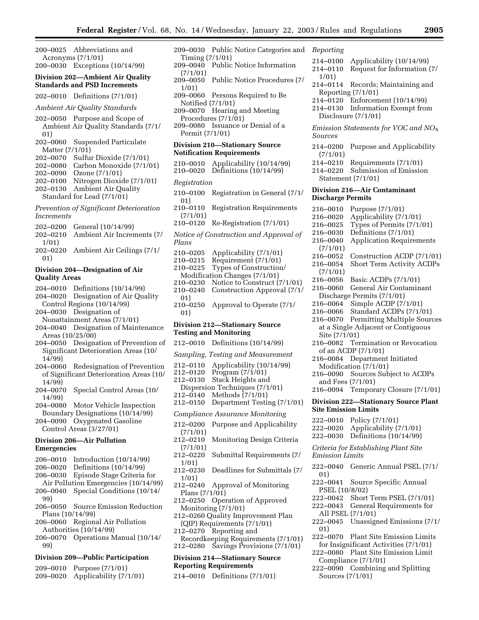200–0025 Abbreviations and Acronyms (7/1/01) 200–0030 Exceptions (10/14/99)

# **Division 202—Ambient Air Quality Standards and PSD Increments**

202–0010 Definitions (7/1/01)

### *Ambient Air Quality Standards*

- 202–0050 Purpose and Scope of Ambient Air Quality Standards (7/1/ 01)
- 202–0060 Suspended Particulate Matter (7/1/01)
- 202–0070 Sulfur Dioxide (7/1/01)
- 202–0080 Carbon Monoxide (7/1/01)
- 202–0090 Ozone (7/1/01)
- 202–0100 Nitrogen Dioxide (7/1/01)
- 202–0130 Ambient Air Quality

# Standard for Lead (7/1/01) *Prevention of Significant Deterioration*

# *Increments*

- 202–0200 General (10/14/99)
- 202–0210 Ambient Air Increments (7/ 1/01)
- 202–0220 Ambient Air Ceilings (7/1/ 01)

# **Division 204—Designation of Air Quality Areas**

- 204–0010 Definitions (10/14/99)
- 204–0020 Designation of Air Quality Control Regions (10/14/99)
- 204–0030 Designation of
- Nonattainment Areas (7/1/01) 204–0040 Designation of Maintenance
- Areas (10/25/00)
- 204–0050 Designation of Prevention of Significant Deterioration Areas (10/ 14/99)
- 204–0060 Redesignation of Prevention of Significant Deterioration Areas (10/ 14/99)
- 204–0070 Special Control Areas (10/ 14/99)
- 204–0080 Motor Vehicle Inspection
- Boundary Designations (10/14/99) 204–0090 Oxygenated Gasoline
- Control Areas (3/27/01)

# **Division 206—Air Pollution Emergencies**

- 206–0010 Introduction (10/14/99)
- 206–0020 Definitions (10/14/99)
- 206–0030 Episode Stage Criteria for
- Air Pollution Emergencies (10/14/99) 206–0040 Special Conditions (10/14/ 99)
- 206–0050 Source Emission Reduction Plans (10/14/99)
- 206–0060 Regional Air Pollution Authorities (10/14/99)
- 206–0070 Operations Manual (10/14/ 99)

# **Division 209—Public Participation**

209–0010 Purpose (7/1/01) 209–0020 Applicability (7/1/01)

- 209–0030 Public Notice Categories and Timing (7/1/01) 209–0040 Public Notice Information  $(7/1/01)$ <br>209–0050 Public Notice Procedures (7/ 1/01) 209–0060 Persons Required to Be Notified (7/1/01) 209–0070 Hearing and Meeting Procedures (7/1/01) 209–0080 Issuance or Denial of a Permit (7/1/01) **Division 210—Stationary Source Notification Requirements**  210–0010 Applicability (10/14/99) 210–0020 Definitions (10/14/99) *Registration*
- 210–0100 Registration in General (7/1/ 01)
- 210–0110 Registration Requirements (7/1/01)
- 210–0120 Re-Registration (7/1/01)
- *Notice of Construction and Approval of Plans*
- 210–0205 Applicability (7/1/01)  $Requirement (7/1/01)$ 210–0225 Types of Construction/ Modification Changes (7/1/01)<br>210–0230 Notice to Construct ( Notice to Construct  $(7/1/01)$ 210–0240 Construction Approval (7/1/ 01) 210–0250 Approval to Operate (7/1/ 01)

# **Division 212—Stationary Source Testing and Monitoring**

- 212–0010 Definitions (10/14/99)
- *Sampling, Testing and Measurement*
- 212–0110 Applicability (10/14/99)
- 212–0120 Program (7/1/01)<br>212–0130 Stack Heights and
- Stack Heights and
- Dispersion Techniques  $(7/1/01)$ <br>212–0140 Methods  $(7/1/01)$ Methods  $(7/1/01)$
- 212–0150 Department Testing (7/1/01)
- *Compliance Assurance Monitoring*
- 212–0200 Purpose and Applicability
- (7/1/01) Monitoring Design Criteria  $(7/1/01)$ <br>212–0220
- Submittal Requirements (7/ 1/01)
- 212–0230 Deadlines for Submittals (7/ 1/01)
- 212–0240 Approval of Monitoring Plans (7/1/01)
- 212–0250 Operation of Approved Monitoring (7/1/01)
- 212–0260 Quality Improvement Plan (QIP) Requirements (7/1/01)
- 212–0270 Reporting and
- Recordkeeping Requirements (7/1/01) 212–0280 Savings Provisions (7/1/01)

# **Division 214—Stationary Source**

- **Reporting Requirements**
- 214–0010 Definitions (7/1/01)

# *Reporting*

- 214–0100 Applicability (10/14/99)
- 214–0110 Request for Information (7/ 1/01)
- 214–0114 Records; Maintaining and Reporting (7/1/01)
- 214–0120 Enforcement (10/14/99)
- 214–0130 Information Exempt from Disclosure (7/1/01)

*Emission Statements for VOC and NO*X *Sources* 

- 214–0200 Purpose and Applicability (7/1/01)
- 214–0210 Requirements (7/1/01)
- 214–0220 Submission of Emission Statement (7/1/01)

# **Division 216—Air Contaminant Discharge Permits**

- 216–0010 Purpose (7/1/01) 216–0020 Applicability (7/1/01) 216–0025 Types of Permits (7/1/01) 216–0030 Definitions (7/1/01) 216–0040 Application Requirements (7/1/01) 216–0052 Construction ACDP (7/1/01) 216–0054 Short Term Activity ACDPs (7/1/01) 216–0056 Basic ACDPs (7/1/01) 216–0060 General Air Contaminant Discharge Permits (7/1/01) 216–0064 Simple ACDP (7/1/01) 216–0066 Standard ACDPs (7/1/01) 216–0070 Permitting Multiple Sources at a Single Adjacent or Contiguous Site (7/1/01) 216–0082 Termination or Revocation of an ACDP (7/1/01) 216–0084 Department Initiated Modification (7/1/01) 216–0090 Sources Subject to ACDPs and Fees (7/1/01) 216–0094 Temporary Closure (7/1/01) **Division 222—Stationary Source Plant Site Emission Limits**  222–0010 Policy (7/1/01) 222–0020 Applicability (7/1/01) 222–0030 Definitions (10/14/99) *Criteria for Establishing Plant Site Emission Limits*
- 222–0040 Generic Annual PSEL (7/1/ 01)
- 222–0041 Source Specific Annual PSEL (10/8/02)
- 222–0042 Short Term PSEL (7/1/01)
- 222–0043 General Requirements for
- All PSEL (7/1/01) 222–0045 Unassigned Emissions (7/1/
- 01) 222–0070 Plant Site Emission Limits
- for Insignificant Activities (7/1/01)
- 222–0080 Plant Site Emission Limit Compliance (7/1/01)
- 222–0090 Combining and Splitting Sources (7/1/01)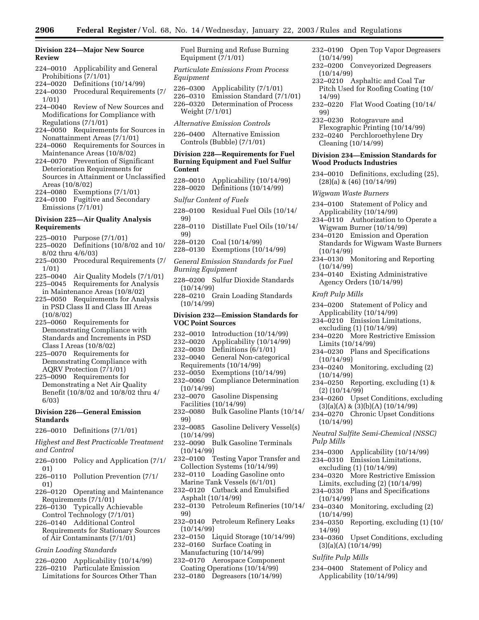**Division 224—Major New Source Review** 

- 224–0010 Applicability and General Prohibitions (7/1/01)
- 224–0020 Definitions (10/14/99)
- 224–0030 Procedural Requirements (7/ 1/01)
- 224–0040 Review of New Sources and Modifications for Compliance with Regulations (7/1/01)
- 224–0050 Requirements for Sources in Nonattainment Areas (7/1/01)
- 224–0060 Requirements for Sources in Maintenance Areas (10/8/02)
- 224–0070 Prevention of Significant Deterioration Requirements for Sources in Attainment or Unclassified Areas (10/8/02)
- 224–0080 Exemptions (7/1/01)
- 224–0100 Fugitive and Secondary Emissions (7/1/01)

# **Division 225—Air Quality Analysis Requirements**

- 225–0010 Purpose (7/1/01)
- 225–0020 Definitions (10/8/02 and 10/ 8/02 thru 4/6/03)
- 225–0030 Procedural Requirements (7/ 1/01)
- 225–0040 Air Quality Models (7/1/01)
- 225–0045 Requirements for Analysis in Maintenance Areas (10/8/02)
- 225–0050 Requirements for Analysis in PSD Class II and Class III Areas (10/8/02)
- 225–0060 Requirements for Demonstrating Compliance with Standards and Increments in PSD Class I Areas (10/8/02)
- 225–0070 Requirements for Demonstrating Compliance with AQRV Protection (7/1/01)
- 225–0090 Requirements for Demonstrating a Net Air Quality Benefit (10/8/02 and 10/8/02 thru 4/ 6/03)

# **Division 226—General Emission Standards**

226–0010 Definitions (7/1/01)

*Highest and Best Practicable Treatment and Control* 

- 226–0100 Policy and Application (7/1/ 01)
- 226–0110 Pollution Prevention (7/1/ 01)
- 226–0120 Operating and Maintenance Requirements (7/1/01)
- 226–0130 Typically Achievable Control Technology (7/1/01)
- 226–0140 Additional Control
- Requirements for Stationary Sources of Air Contaminants (7/1/01)

# *Grain Loading Standards*

- 226–0200 Applicability (10/14/99)
- 226–0210 Particulate Emission Limitations for Sources Other Than

Fuel Burning and Refuse Burning Equipment (7/1/01)

*Particulate Emissions From Process Equipment* 

226–0300 Applicability (7/1/01)

226–0310 Emission Standard (7/1/01) 226–0320 Determination of Process Weight (7/1/01)

- *Alternative Emission Controls*
- 226–0400 Alternative Emission Controls (Bubble) (7/1/01)

# **Division 228—Requirements for Fuel Burning Equipment and Fuel Sulfur Content**

- 228–0010 Applicability (10/14/99) 228–0020 Definitions (10/14/99)
- *Sulfur Content of Fuels*
- 228–0100 Residual Fuel Oils (10/14/ 99)
- 228–0110 Distillate Fuel Oils (10/14/ 99)
- 228–0120 Coal (10/14/99)
- 228–0130 Exemptions (10/14/99)

*General Emission Standards for Fuel Burning Equipment* 

- 228–0200 Sulfur Dioxide Standards (10/14/99)
- 228–0210 Grain Loading Standards  $(10/14/99)$

# **Division 232—Emission Standards for VOC Point Sources**

- 232–0010 Introduction (10/14/99)
- 232–0020 Applicability (10/14/99)
- 232–0030 Definitions (6/1/01)
- 232–0040 General Non-categorical Requirements (10/14/99)
- 232–0050 Exemptions (10/14/99)
- 232–0060 Compliance Determination (10/14/99)
- 232–0070 Gasoline Dispensing Facilities (10/14/99)
- 232–0080 Bulk Gasoline Plants (10/14/ 99)
- 232–0085 Gasoline Delivery Vessel(s) (10/14/99)
- 232–0090 Bulk Gasoline Terminals (10/14/99)
- 232–0100 Testing Vapor Transfer and Collection Systems (10/14/99)
- 232–0110 Loading Gasoline onto Marine Tank Vessels (6/1/01)
- 232–0120 Cutback and Emulsified Asphalt (10/14/99)
- 232–0130 Petroleum Refineries (10/14/ 99)
- 232–0140 Petroleum Refinery Leaks (10/14/99)
- 232–0150 Liquid Storage (10/14/99) 232–0160 Surface Coating in
- Manufacturing (10/14/99)
- 232–0170 Aerospace Component Coating Operations (10/14/99)
- 232–0180 Degreasers (10/14/99)
- 232–0190 Open Top Vapor Degreasers (10/14/99)
- 232–0200 Conveyorized Degreasers (10/14/99)
- 232–0210 Asphaltic and Coal Tar Pitch Used for Roofing Coating (10/ 14/99)
- 232–0220 Flat Wood Coating (10/14/ 99)
- 232–0230 Rotogravure and Flexographic Printing (10/14/99)
- 232–0240 Perchloroethylene Dry Cleaning (10/14/99)

# **Division 234—Emission Standards for Wood Products Industries**

- 234–0010 Definitions, excluding (25), (28)(a) & (46) (10/14/99)
- *Wigwam Waste Burners*
- 234–0100 Statement of Policy and Applicability (10/14/99)
- 234–0110 Authorization to Operate a Wigwam Burner (10/14/99)
- 234–0120 Emission and Operation Standards for Wigwam Waste Burners (10/14/99)
- 234–0130 Monitoring and Reporting (10/14/99)
- 234–0140 Existing Administrative Agency Orders (10/14/99)
- *Kraft Pulp Mills*
- 234–0200 Statement of Policy and Applicability (10/14/99)
- 234–0210 Emission Limitations, excluding (1) (10/14/99)
- 234–0220 More Restrictive Emission Limits (10/14/99)
- 234–0230 Plans and Specifications (10/14/99)
- 234–0240 Monitoring, excluding (2) (10/14/99)
- 234–0250 Reporting, excluding (1) & (2) (10/14/99)
- 234–0260 Upset Conditions, excluding  $(3)(a)(A)$  &  $(3)(b)(A)$   $(10/14/99)$
- 234–0270 Chronic Upset Conditions (10/14/99)
- *Neutral Sulfite Semi-Chemical (NSSC) Pulp Mills*
- 234–0300 Applicability (10/14/99)
- 234–0310 Emission Limitations,
- excluding (1) (10/14/99)

(3)(a)(A) (10/14/99) *Sulfite Pulp Mills* 

- 234–0320 More Restrictive Emission Limits, excluding (2) (10/14/99)
- 234–0330 Plans and Specifications (10/14/99)
- 234–0340 Monitoring, excluding (2) (10/14/99)

234–0400 Statement of Policy and Applicability (10/14/99)

234–0350 Reporting, excluding (1) (10/ 14/99) 234–0360 Upset Conditions, excluding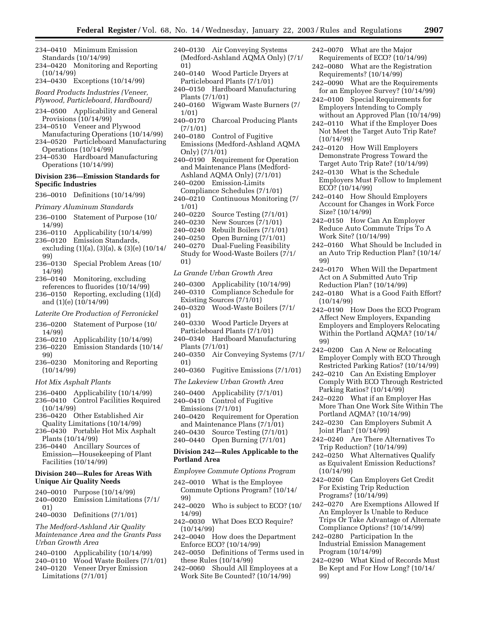- 234–0410 Minimum Emission Standards (10/14/99)
- 234–0420 Monitoring and Reporting  $(10/14/99)$
- 234–0430 Exceptions (10/14/99)

*Board Products Industries (Veneer, Plywood, Particleboard, Hardboard)* 

- 234–0500 Applicability and General Provisions (10/14/99)
- 234–0510 Veneer and Plywood Manufacturing Operations (10/14/99)
- 234–0520 Particleboard Manufacturing Operations (10/14/99)
- 234–0530 Hardboard Manufacturing Operations (10/14/99)

### **Division 236—Emission Standards for Specific Industries**

- 236–0010 Definitions (10/14/99)
- *Primary Aluminum Standards*
- 236–0100 Statement of Purpose (10/ 14/99)
- 236–0110 Applicability (10/14/99)
- 236–0120 Emission Standards,
- excluding (1)(a), (3)(a), & (3)(e) (10/14/ 99)
- 236–0130 Special Problem Areas (10/ 14/99)
- 236–0140 Monitoring, excluding references to fluorides (10/14/99)
- 236–0150 Reporting, excluding (1)(d) and (1)(e) (10/14/99)

*Laterite Ore Production of Ferronickel* 

- 236–0200 Statement of Purpose (10/ 14/99)
- 236–0210 Applicability (10/14/99)
- 236–0220 Emission Standards (10/14/ 99)
- 236–0230 Monitoring and Reporting (10/14/99)
- *Hot Mix Asphalt Plants*
- 236–0400 Applicability (10/14/99)
- 236–0410 Control Facilities Required (10/14/99)
- 236–0420 Other Established Air Quality Limitations (10/14/99)
- 236–0430 Portable Hot Mix Asphalt Plants (10/14/99)
- 236–0440 Ancillary Sources of Emission—Housekeeping of Plant Facilities (10/14/99)

### **Division 240—Rules for Areas With Unique Air Quality Needs**

- 240–0010 Purpose (10/14/99) 240–0020 Emission Limitations (7/1/ 01)
- 240–0030 Definitions (7/1/01)

*The Medford-Ashland Air Quality Maintenance Area and the Grants Pass Urban Growth Area* 

- 240–0100 Applicability (10/14/99)
- 240–0110 Wood Waste Boilers (7/1/01)
- 240–0120 Veneer Dryer Emission Limitations (7/1/01)
- 240–0130 Air Conveying Systems (Medford-Ashland AQMA Only) (7/1/ 01)
- 240–0140 Wood Particle Dryers at Particleboard Plants (7/1/01)
- 240–0150 Hardboard Manufacturing Plants (7/1/01)
- 240–0160 Wigwam Waste Burners (7/ 1/01)
- 240–0170 Charcoal Producing Plants (7/1/01)
- 240–0180 Control of Fugitive Emissions (Medford-Ashland AQMA Only) (7/1/01)
- 240–0190 Requirement for Operation and Maintenance Plans (Medford-Ashland AQMA Only) (7/1/01)
- 240–0200 Emission-Limits Compliance Schedules (7/1/01)
- 240–0210 Continuous Monitoring (7/
- $1/01)$ <br>240–0220 Source Testing (7/1/01)
- 240–0230 New Sources (7/1/01)
- 
- 240–0240 Rebuilt Boilers (7/1/01) Open Burning  $(7/1/01)$
- 240–0270 Dual-Fueling Feasibility Study for Wood-Waste Boilers (7/1/ 01)

*La Grande Urban Growth Area* 

- 240–0300 Applicability (10/14/99)
- 240–0310 Compliance Schedule for
- Existing Sources (7/1/01)
- 240–0320 Wood-Waste Boilers (7/1/ 01)
- 240–0330 Wood Particle Dryers at Particleboard Plants (7/1/01)
- 240–0340 Hardboard Manufacturing Plants (7/1/01)
- 240–0350 Air Conveying Systems (7/1/ 01)
- 240–0360 Fugitive Emissions (7/1/01)
- *The Lakeview Urban Growth Area*
- 240–0400 Applicability (7/1/01)
- 240–0410 Control of Fugitive Emissions (7/1/01)
- 240–0420 Requirement for Operation and Maintenance Plans (7/1/01)
- 240–0430 Source Testing (7/1/01)
- 240–0440 Open Burning (7/1/01)

# **Division 242—Rules Applicable to the Portland Area**

*Employee Commute Options Program* 

- 242–0010 What is the Employee Commute Options Program? (10/14/ 99)
- 242–0020 Who is subject to ECO? (10/ 14/99)
- 242–0030 What Does ECO Require? (10/14/99)
- 242–0040 How does the Department Enforce ECO? (10/14/99)
- 242–0050 Definitions of Terms used in these Rules (10/14/99)
- 242–0060 Should All Employees at a Work Site Be Counted? (10/14/99)
- 242–0070 What are the Major
- Requirements of ECO? (10/14/99) 242–0080 What are the Registration Requirements? (10/14/99)
- 242–0090 What are the Requirements for an Employee Survey? (10/14/99)
- 242–0100 Special Requirements for Employers Intending to Comply without an Approved Plan (10/14/99)
- 242–0110 What if the Employer Does Not Meet the Target Auto Trip Rate? (10/14/99)
- 242–0120 How Will Employers Demonstrate Progress Toward the Target Auto Trip Rate? (10/14/99)
- 242–0130 What is the Schedule Employers Must Follow to Implement ECO? (10/14/99)
- 242–0140 How Should Employers Account for Changes in Work Force Size? (10/14/99)
- 242–0150 How Can An Employer Reduce Auto Commute Trips To A Work Site? (10/14/99)
- 242–0160 What Should be Included in an Auto Trip Reduction Plan? (10/14/ 99)
- 242–0170 When Will the Department Act on A Submitted Auto Trip Reduction Plan? (10/14/99)
- 242–0180 What is a Good Faith Effort? (10/14/99)
- 242–0190 How Does the ECO Program Affect New Employers, Expanding Employers and Employers Relocating Within the Portland AQMA? (10/14/ 99)
- 242–0200 Can A New or Relocating Employer Comply with ECO Through Restricted Parking Ratios? (10/14/99)
- 242–0210 Can An Existing Employer Comply With ECO Through Restricted Parking Ratios? (10/14/99)
- 242–0220 What if an Employer Has More Than One Work Site Within The Portland AQMA? (10/14/99)
- 242–0230 Can Employers Submit A Joint Plan? (10/14/99)
- 242–0240 Are There Alternatives To Trip Reduction? (10/14/99)
- 242–0250 What Alternatives Qualify as Equivalent Emission Reductions? (10/14/99)
- 242–0260 Can Employers Get Credit For Existing Trip Reduction Programs? (10/14/99)
- 242–0270 Are Exemptions Allowed If An Employer Is Unable to Reduce Trips Or Take Advantage of Alternate Compliance Options? (10/14/99)
- 242–0280 Participation In the Industrial Emission Management Program (10/14/99)
- 242–0290 What Kind of Records Must Be Kept and For How Long? (10/14/ 99)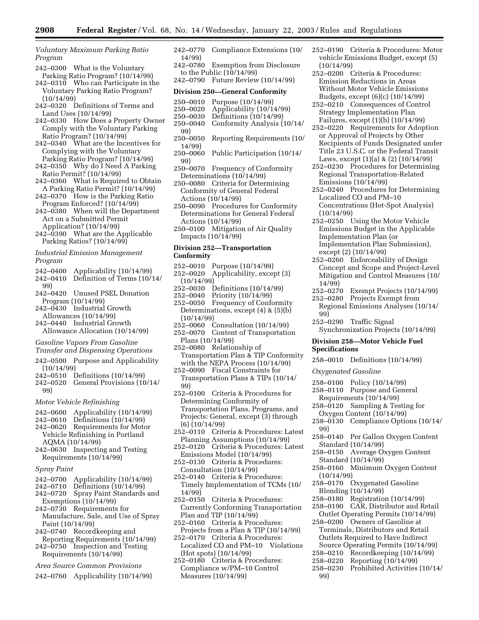*Voluntary Maximum Parking Ratio Program* 

- 242–0300 What is the Voluntary Parking Ratio Program? (10/14/99)
- 242–0310 Who can Participate in the Voluntary Parking Ratio Program? (10/14/99)
- 242–0320 Definitions of Terms and Land Uses (10/14/99)
- 242–0330 How Does a Property Owner Comply with the Voluntary Parking Ratio Program? (10/14/99)
- 242–0340 What are the Incentives for Complying with the Voluntary Parking Ratio Program? (10/14/99)
- 242–0350 Why do I Need A Parking Ratio Permit? (10/14/99)
- 242–0360 What is Required to Obtain A Parking Ratio Permit? (10/14/99)
- 242–0370 How is the Parking Ratio Program Enforced? (10/14/99)
- 242–0380 When will the Department Act on a Submitted Permit Application? (10/14/99)
- 242–0390 What are the Applicable Parking Ratios? (10/14/99)

*Industrial Emission Management Program* 

- 242–0400 Applicability (10/14/99) Definition of Terms (10/14/
- 99)
- 242–0420 Unused PSEL Donation Program (10/14/99)
- 242–0430 Industrial Growth Allowances (10/14/99)
- 242–0440 Industrial Growth Allowance Allocation (10/14/99)
- *Gasoline Vapors From Gasoline*
- *Transfer and Dispensing Operations*
- 242–0500 Purpose and Applicability
- $(10/14/99)$ <br>242-0510 D Definitions  $(10/14/99)$
- 242–0520 General Provisions (10/14/ 99)
- *Motor Vehicle Refinishing*
- 242–0600 Applicability (10/14/99)
- 242–0610 Definitions (10/14/99)
- 242–0620 Requirements for Motor Vehicle Refinishing in Portland AQMA (10/14/99)
- 242–0630 Inspecting and Testing Requirements (10/14/99)
- *Spray Paint*
- 242–0700 Applicability (10/14/99)
- 242–0710 Definitions (10/14/99)
- 242–0720 Spray Paint Standards and Exemptions (10/14/99)
- 242–0730 Requirements for Manufacture, Sale, and Use of Spray Paint (10/14/99)
- 242–0740 Recordkeeping and Reporting Requirements (10/14/99)
- 242–0750 Inspection and Testing Requirements (10/14/99)
- *Area Source Common Provisions*
- 242–0760 Applicability (10/14/99)
- 242–0770 Compliance Extensions (10/ 14/99)
- 242–0780 Exemption from Disclosure to the Public  $(10/14/99)$
- 242–0790 Future Review (10/14/99)

### **Division 250—General Conformity**

- 250–0010 Purpose (10/14/99)
- 250–0020 Applicability (10/14/99)
- 250–0030 Definitions (10/14/99)
- Conformity Analysis (10/14/
- 99)<br>250–0050 Reporting Requirements (10/ 14/99)
- 250–0060 Public Participation (10/14/ 99)
- 250–0070 Frequency of Conformity Determinations (10/14/99)
- 250–0080 Criteria for Determining Conformity of General Federal Actions (10/14/99)
- 250–0090 Procedures for Conformity Determinations for General Federal Actions (10/14/99)
- 250–0100 Mitigation of Air Quality Impacts (10/14/99)

# **Division 252—Transportation Conformity**

- 252–0010 Purpose (10/14/99)
- 252–0020 Applicability, except (3) (10/14/99)
- 252–0030 Definitions (10/14/99)
- 252–0040 Priority (10/14/99)
- 252–0050 Frequency of Conformity Determinations, except (4) & (5)(b) (10/14/99)
- 252–0060 Consultation (10/14/99) 252–0070 Content of Transportation
- Plans (10/14/99) 252–0080 Relationship of
- Transportation Plan & TIP Conformity with the NEPA Process (10/14/99)
- 252–0090 Fiscal Constraints for Transportation Plans & TIPs (10/14/ 99)
- 252–0100 Criteria & Procedures for Determining Conformity of Transportation Plans, Programs, and Projects: General, except (3) through (6) (10/14/99)
- 252–0110 Criteria & Procedures: Latest Planning Assumptions (10/14/99)
- 252–0120 Criteria & Procedures: Latest Emissions Model (10/14/99)
- 252–0130 Criteria & Procedures: Consultation (10/14/99)
- 252–0140 Criteria & Procedures: Timely Implementation of TCMs (10/ 14/99)
- 252–0150 Criteria & Procedures: Currently Conforming Transportation Plan and TIP (10/14/99)
- 252–0160 Criteria & Procedures: Projects from a Plan & TIP (10/14/99)
- 252–0170 Criteria & Procedures: Localized CO and PM–10 Violations (Hot spots) (10/14/99)
- 252–0180 Criteria & Procedures: Compliance w/PM–10 Control Measures (10/14/99)
- 252–0190 Criteria & Procedures: Motor vehicle Emissions Budget, except (5) (10/14/99)
- 252–0200 Criteria & Procedures: Emission Reductions in Areas Without Motor Vehicle Emissions Budgets, except (6)(c) (10/14/99)
- 252–0210 Consequences of Control Strategy Implementation Plan Failures, except (1)(b) (10/14/99)
- 252–0220 Requirements for Adoption or Approval of Projects by Other Recipients of Funds Designated under Title 23 U.S.C. or the Federal Transit Laws, except (1)(a) & (2) (10/14/99)
- 252–0230 Procedures for Determining Regional Transportation-Related Emissions (10/14/99)
- 252–0240 Procedures for Determining Localized CO and PM–10 Concentrations (Hot-Spot Analysis)  $(10/14/99)$
- 252–0250 Using the Motor Vehicle Emissions Budget in the Applicable Implementation Plan (or Implementation Plan Submission), except (2) (10/14/99)
- 252–0260 Enforceability of Design Concept and Scope and Project-Level Mitigation and Control Measures (10/ 14/99)
- 252–0270 Exempt Projects (10/14/99)
- 252–0280 Projects Exempt from Regional Emissions Analyses (10/14/
- 99) 252–0290 Traffic Signal

Synchronization Projects (10/14/99)

# **Division 258—Motor Vehicle Fuel Specifications**

258–0010 Definitions (10/14/99)

*Oxygenated Gasoline* 

- 258–0100 Policy (10/14/99)
- 258–0110 Purpose and General Requirements (10/14/99)
- 258–0120 Sampling & Testing for Oxygen Content (10/14/99)
- 258–0130 Compliance Options (10/14/ 99)
- 258–0140 Per Gallon Oxygen Content Standard (10/14/99)
- 258–0150 Average Oxygen Content Standard (10/14/99)
- 258–0160 Minimum Oxygen Content (10/14/99)
- 258–0170 Oxygenated Gasoline Blending (10/14/99)
- 258–0180 Registration (10/14/99)
- 258–0190 CAR, Distributor and Retail Outlet Operating Permits (10/14/99)
- 258–0200 Owners of Gasoline at Terminals, Distributors and Retail Outlets Required to Have Indirect Source Operating Permits (10/14/99)
- 258–0210 Recordkeeping (10/14/99)
- 258–0220 Reporting (10/14/99)
- 258–0230 Prohibited Activities (10/14/
- 99)